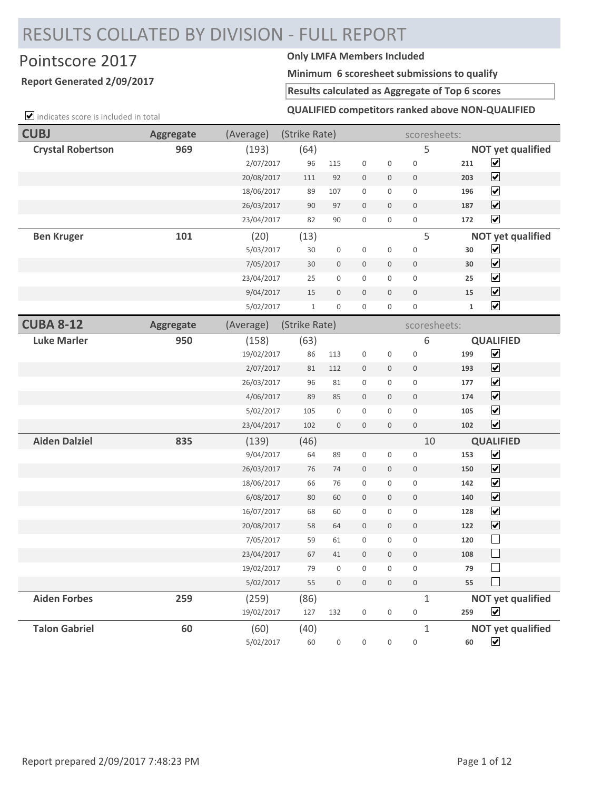# RESULTS COLLATED BY DIVISION - FULL REPORT

## Pointscore 2017 **Only LMFA Members Included**

### **Report Generated 2/09/2017**

 $\triangledown$  indicates score is included in total

**Minimum 6 scoresheet submissions to qualify**

**Results calculated as Aggregate of Top 6 scores**

### **QUALIFIED competitors ranked above NON-QUALIFIED**

| <b>CUBJ</b>              | <b>Aggregate</b> | (Average)  | (Strike Rate) |                     |                     |                     | scoresheets:     |              |                             |
|--------------------------|------------------|------------|---------------|---------------------|---------------------|---------------------|------------------|--------------|-----------------------------|
| <b>Crystal Robertson</b> | 969              | (193)      | (64)          |                     |                     |                     | 5                |              | <b>NOT yet qualified</b>    |
|                          |                  | 2/07/2017  | 96            | 115                 | $\boldsymbol{0}$    | $\boldsymbol{0}$    | $\mathbf 0$      | 211          | $\blacktriangledown$        |
|                          |                  | 20/08/2017 | 111           | 92                  | $\mathbf 0$         | 0                   | $\boldsymbol{0}$ | 203          | $\overline{\mathbf{v}}$     |
|                          |                  | 18/06/2017 | 89            | 107                 | $\boldsymbol{0}$    | 0                   | $\boldsymbol{0}$ | 196          | $\blacktriangledown$        |
|                          |                  | 26/03/2017 | 90            | 97                  | $\mathbf 0$         | $\mathbf 0$         | $\boldsymbol{0}$ | 187          | $\blacktriangledown$        |
|                          |                  | 23/04/2017 | 82            | 90                  | $\mathbf 0$         | $\mathbf 0$         | $\mathbf 0$      | 172          | $\blacktriangledown$        |
| <b>Ben Kruger</b>        | 101              | (20)       | (13)          |                     |                     |                     | 5                |              | <b>NOT yet qualified</b>    |
|                          |                  | 5/03/2017  | 30            | $\boldsymbol{0}$    | $\mathbf 0$         | $\mathbf 0$         | $\mathbf 0$      | 30           | $\blacktriangledown$        |
|                          |                  | 7/05/2017  | 30            | $\mathsf{O}\xspace$ | $\mathbf 0$         | $\mathbf 0$         | $\mathbf 0$      | 30           | $\overline{\mathbf{v}}$     |
|                          |                  | 23/04/2017 | 25            | 0                   | $\mathsf{O}\xspace$ | 0                   | $\boldsymbol{0}$ | 25           | $\blacktriangledown$        |
|                          |                  | 9/04/2017  | 15            | 0                   | $\mathbf 0$         | $\mathbf 0$         | $\mathbf 0$      | 15           | $\overline{\mathbf{v}}$     |
|                          |                  | 5/02/2017  | $\,1\,$       | $\mathsf{O}\xspace$ | $\mathbf 0$         | 0                   | $\mathbf 0$      | $\mathbf{1}$ | $\overline{\mathbf{v}}$     |
| <b>CUBA 8-12</b>         | <b>Aggregate</b> | (Average)  | (Strike Rate) |                     |                     |                     | scoresheets:     |              |                             |
| <b>Luke Marler</b>       | 950              | (158)      | (63)          |                     |                     |                     | 6                |              | <b>QUALIFIED</b>            |
|                          |                  | 19/02/2017 | 86            | 113                 | $\boldsymbol{0}$    | $\boldsymbol{0}$    | $\boldsymbol{0}$ | 199          | $\overline{\mathbf{v}}$     |
|                          |                  | 2/07/2017  | 81            | 112                 | $\mathbf 0$         | 0                   | $\mathbf 0$      | 193          | $\blacktriangledown$        |
|                          |                  | 26/03/2017 | 96            | 81                  | $\mathbf 0$         | 0                   | $\boldsymbol{0}$ | 177          | $\blacktriangledown$        |
|                          |                  | 4/06/2017  | 89            | 85                  | $\overline{0}$      | $\mathbf 0$         | $\mathbf 0$      | 174          | $\blacktriangledown$        |
|                          |                  | 5/02/2017  | 105           | $\boldsymbol{0}$    | $\mathbf{0}$        | 0                   | $\boldsymbol{0}$ | 105          | $\blacktriangledown$        |
|                          |                  | 23/04/2017 | 102           | $\mathsf{O}\xspace$ | $\mathbf 0$         | $\mathbf 0$         | $\mathbb O$      | 102          | $\blacktriangledown$        |
| <b>Aiden Dalziel</b>     | 835              | (139)      | (46)          |                     |                     |                     | 10               |              | <b>QUALIFIED</b>            |
|                          |                  | 9/04/2017  | 64            | 89                  | $\boldsymbol{0}$    | 0                   | $\boldsymbol{0}$ | 153          | $\overline{\mathbf{v}}$     |
|                          |                  | 26/03/2017 | 76            | 74                  | $\bf 0$             | $\boldsymbol{0}$    | $\boldsymbol{0}$ | 150          | $\blacktriangledown$        |
|                          |                  | 18/06/2017 | 66            | 76                  | $\mathbf 0$         | 0                   | $\mathbf 0$      | 142          | $\overline{\mathbf{v}}$     |
|                          |                  | 6/08/2017  | 80            | 60                  | $\bf 0$             | $\mathbf 0$         | $\boldsymbol{0}$ | 140          | $\overline{\mathbf{v}}$     |
|                          |                  | 16/07/2017 | 68            | 60                  | $\mathsf{O}\xspace$ | 0                   | $\mathbf 0$      | 128          | $\blacktriangledown$        |
|                          |                  | 20/08/2017 | 58            | 64                  | $\mathbf 0$         | $\mathbf 0$         | $\boldsymbol{0}$ | 122          | $\overline{\mathbf{v}}$     |
|                          |                  | 7/05/2017  | 59            | 61                  | $\mathbf 0$         | $\boldsymbol{0}$    | $\boldsymbol{0}$ | 120          | $\overline{\phantom{a}}$    |
|                          |                  | 23/04/2017 | 67            | 41                  | $\mathbf 0$         | $\boldsymbol{0}$    | $\boldsymbol{0}$ | 108          | $\mathcal{L}_{\mathcal{A}}$ |
|                          |                  | 19/02/2017 | 79            | $\mathbf 0$         | $\mathbf 0$         | 0                   | 0                | 79           |                             |
|                          |                  | 5/02/2017  | 55            | $\mathsf{O}\xspace$ | $\mathbb O$         | $\mathsf{O}\xspace$ | $\mathbb O$      | 55           | $\mathcal{L}$               |
| <b>Aiden Forbes</b>      | 259              | (259)      | (86)          |                     |                     |                     | $\mathbf{1}$     |              | <b>NOT yet qualified</b>    |
|                          |                  | 19/02/2017 | 127           | 132                 | $\mathsf{O}\xspace$ | 0                   | $\mathbf 0$      | 259          | $\overline{\mathbf{v}}$     |
| <b>Talon Gabriel</b>     | 60               | (60)       | (40)          |                     |                     |                     | $\mathbf{1}$     |              | <b>NOT yet qualified</b>    |
|                          |                  | 5/02/2017  | $60\,$        | $\,0\,$             | $\boldsymbol{0}$    | $\boldsymbol{0}$    | $\,0\,$          | 60           | $\blacktriangledown$        |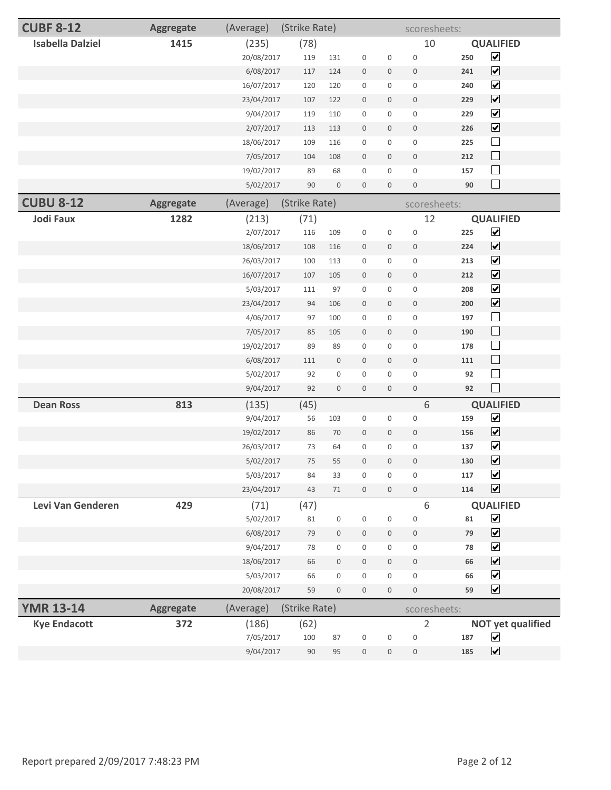| <b>CUBF 8-12</b>        | <b>Aggregate</b> | (Average)  | (Strike Rate) |                  |                  |                  | scoresheets:     |     |                          |
|-------------------------|------------------|------------|---------------|------------------|------------------|------------------|------------------|-----|--------------------------|
| <b>Isabella Dalziel</b> | 1415             | (235)      | (78)          |                  |                  |                  | 10               |     | <b>QUALIFIED</b>         |
|                         |                  | 20/08/2017 | 119           | 131              | $\boldsymbol{0}$ | $\boldsymbol{0}$ | $\bf 0$          | 250 | $\blacktriangledown$     |
|                         |                  | 6/08/2017  | 117           | 124              | $\boldsymbol{0}$ | $\mathbf 0$      | $\mathbf 0$      | 241 | $\blacktriangledown$     |
|                         |                  | 16/07/2017 | 120           | 120              | $\boldsymbol{0}$ | 0                | $\boldsymbol{0}$ | 240 | $\blacktriangledown$     |
|                         |                  | 23/04/2017 | 107           | 122              | $\bf 0$          | $\mathbf 0$      | $\boldsymbol{0}$ | 229 | $\blacktriangledown$     |
|                         |                  | 9/04/2017  | 119           | 110              | $\boldsymbol{0}$ | $\boldsymbol{0}$ | $\boldsymbol{0}$ | 229 | $\blacktriangledown$     |
|                         |                  | 2/07/2017  | 113           | 113              | $\bf 0$          | 0                | $\mathbf 0$      | 226 | $\blacktriangledown$     |
|                         |                  | 18/06/2017 | 109           | 116              | $\boldsymbol{0}$ | 0                | $\boldsymbol{0}$ | 225 | $\Box$                   |
|                         |                  | 7/05/2017  | 104           | 108              | $\bf 0$          | $\mathbf 0$      | $\boldsymbol{0}$ | 212 | $\Box$                   |
|                         |                  | 19/02/2017 | 89            | 68               | $\boldsymbol{0}$ | 0                | $\mathbf 0$      | 157 | $\Box$                   |
|                         |                  | 5/02/2017  | 90            | $\boldsymbol{0}$ | $\boldsymbol{0}$ | $\mathbf 0$      | $\mathbf 0$      | 90  | $\Box$                   |
| <b>CUBU 8-12</b>        | <b>Aggregate</b> | (Average)  | (Strike Rate) |                  |                  |                  | scoresheets:     |     |                          |
| <b>Jodi Faux</b>        | 1282             | (213)      | (71)          |                  |                  |                  | 12               |     | <b>QUALIFIED</b>         |
|                         |                  | 2/07/2017  | 116           | 109              | $\boldsymbol{0}$ | $\boldsymbol{0}$ | $\bf 0$          | 225 | $\blacktriangledown$     |
|                         |                  | 18/06/2017 | 108           | 116              | $\boldsymbol{0}$ | 0                | $\boldsymbol{0}$ | 224 | $\blacktriangledown$     |
|                         |                  | 26/03/2017 | 100           | 113              | $\boldsymbol{0}$ | 0                | $\boldsymbol{0}$ | 213 | $\blacktriangledown$     |
|                         |                  | 16/07/2017 | 107           | 105              | $\bf 0$          | $\mathbf 0$      | $\mathbf 0$      | 212 | $\blacktriangledown$     |
|                         |                  | 5/03/2017  | 111           | 97               | $\boldsymbol{0}$ | 0                | $\boldsymbol{0}$ | 208 | $\blacktriangledown$     |
|                         |                  | 23/04/2017 | 94            | 106              | $\bf 0$          | $\mathbf 0$      | $\boldsymbol{0}$ | 200 | $\blacktriangledown$     |
|                         |                  | 4/06/2017  | 97            | 100              | $\boldsymbol{0}$ | 0                | $\boldsymbol{0}$ | 197 | $\Box$                   |
|                         |                  | 7/05/2017  | 85            | 105              | $\bf 0$          | 0                | $\mathbf 0$      | 190 | $\Box$                   |
|                         |                  | 19/02/2017 | 89            | 89               | $\bf 0$          | $\boldsymbol{0}$ | $\boldsymbol{0}$ | 178 | $\Box$                   |
|                         |                  | 6/08/2017  | 111           | 0                | $\bf 0$          | $\mathbf 0$      | $\boldsymbol{0}$ | 111 | $\Box$                   |
|                         |                  | 5/02/2017  | 92            | 0                | $\boldsymbol{0}$ | 0                | $\mathbf 0$      | 92  | $\Box$                   |
|                         |                  | 9/04/2017  | 92            | $\boldsymbol{0}$ | $\bf 0$          | $\mathbf 0$      | $\boldsymbol{0}$ | 92  | $\Box$                   |
| <b>Dean Ross</b>        | 813              | (135)      | (45)          |                  |                  |                  | 6                |     | <b>QUALIFIED</b>         |
|                         |                  | 9/04/2017  | 56            | 103              | $\boldsymbol{0}$ | $\boldsymbol{0}$ | $\bf 0$          | 159 | $\blacktriangledown$     |
|                         |                  | 19/02/2017 | 86            | 70               | $\boldsymbol{0}$ | $\mathbf 0$      | $\mathbb O$      | 156 | $\blacktriangledown$     |
|                         |                  | 26/03/2017 | 73            | 64               | $\boldsymbol{0}$ | $\mathbf 0$      | $\boldsymbol{0}$ | 137 | $\blacktriangledown$     |
|                         |                  | 5/02/2017  | 75            | 55               | $\mathbf 0$      | $\mathbf 0$      | $\bf 0$          | 130 | $\overline{\mathbf{v}}$  |
|                         |                  | 5/03/2017  | 84            | 33               | $\boldsymbol{0}$ | $\overline{0}$   | $\overline{0}$   | 117 | $\blacktriangledown$     |
|                         |                  | 23/04/2017 | 43            | 71               | $\mathbf 0$      | $\mathbf 0$      | $\mathbf 0$      | 114 | $\blacktriangledown$     |
| Levi Van Genderen       | 429              | (71)       | (47)          |                  |                  |                  | 6                |     | <b>QUALIFIED</b>         |
|                         |                  | 5/02/2017  | 81            | 0                | $\boldsymbol{0}$ | 0                | $\boldsymbol{0}$ | 81  | $\blacktriangledown$     |
|                         |                  | 6/08/2017  | 79            | $\boldsymbol{0}$ | $\boldsymbol{0}$ | $\mathbf 0$      | $\boldsymbol{0}$ | 79  | $\blacktriangledown$     |
|                         |                  | 9/04/2017  | 78            | 0                | $\boldsymbol{0}$ | $\mathbf{0}$     | $\mathbf 0$      | 78  | $\blacktriangledown$     |
|                         |                  | 18/06/2017 | 66            | $\boldsymbol{0}$ | $\mathbf 0$      | $\mathbf 0$      | $\mathbf 0$      | 66  | $\blacktriangledown$     |
|                         |                  | 5/03/2017  | 66            | 0                | $\boldsymbol{0}$ | 0                | $\boldsymbol{0}$ | 66  | $\blacktriangledown$     |
|                         |                  | 20/08/2017 | 59            | $\boldsymbol{0}$ | $\bf 0$          | $\mathbf 0$      | $\boldsymbol{0}$ | 59  | $\blacktriangledown$     |
| <b>YMR 13-14</b>        | <b>Aggregate</b> | (Average)  | (Strike Rate) |                  |                  |                  | scoresheets:     |     |                          |
| <b>Kye Endacott</b>     | 372              | (186)      | (62)          |                  |                  |                  | $\overline{2}$   |     | <b>NOT yet qualified</b> |
|                         |                  | 7/05/2017  | 100           | 87               | $\mathbf 0$      | $\boldsymbol{0}$ | $\bf 0$          | 187 | $\blacktriangledown$     |
|                         |                  | 9/04/2017  | 90            | 95               | $\boldsymbol{0}$ | $\mathbf 0$      | $\mathbb O$      | 185 | $\blacktriangledown$     |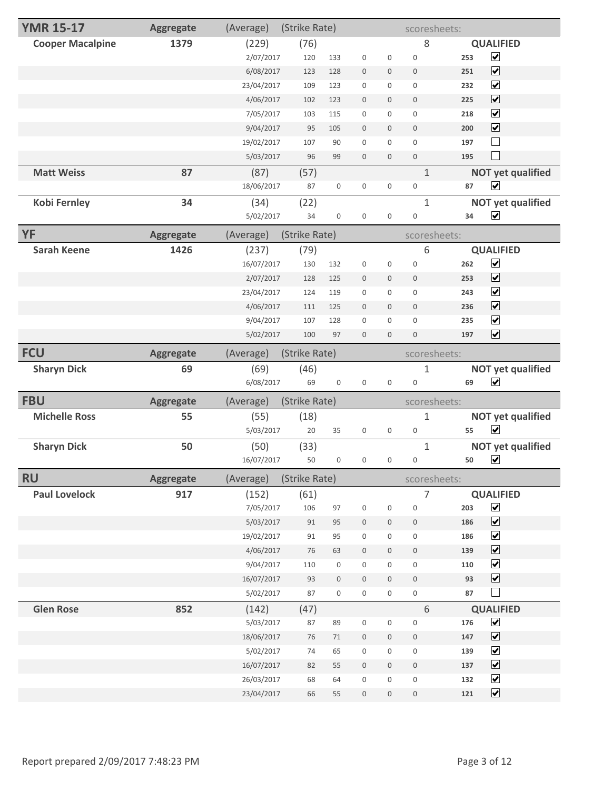| <b>YMR 15-17</b>        | <b>Aggregate</b> | (Average)  | (Strike Rate) |                     |                     |                  | scoresheets:     |                                                        |  |
|-------------------------|------------------|------------|---------------|---------------------|---------------------|------------------|------------------|--------------------------------------------------------|--|
| <b>Cooper Macalpine</b> | 1379             | (229)      | (76)          |                     |                     |                  | 8                | <b>QUALIFIED</b>                                       |  |
|                         |                  | 2/07/2017  | 120           | 133                 | $\boldsymbol{0}$    | $\boldsymbol{0}$ | $\boldsymbol{0}$ | $\overline{\mathbf{v}}$<br>253                         |  |
|                         |                  | 6/08/2017  | 123           | 128                 | $\mathbb O$         | $\mathbf 0$      | $\mathbf 0$      | $\blacktriangledown$<br>251                            |  |
|                         |                  | 23/04/2017 | 109           | 123                 | $\mathsf{O}\xspace$ | 0                | $\mathbf 0$      | $\blacktriangledown$<br>232                            |  |
|                         |                  | 4/06/2017  | 102           | 123                 | $\mathbf{0}$        | $\mathbf 0$      | $\mathbf 0$      | $\blacktriangledown$<br>225                            |  |
|                         |                  | 7/05/2017  | 103           | 115                 | $\mathbf 0$         | 0                | $\mathbf 0$      | $\blacktriangledown$<br>218                            |  |
|                         |                  | 9/04/2017  | 95            | 105                 | $\bf 0$             | 0                | $\mathbf 0$      | $\overline{\mathbf{v}}$<br>200                         |  |
|                         |                  | 19/02/2017 | 107           | 90                  | $\mathbf 0$         | 0                | $\boldsymbol{0}$ | 197                                                    |  |
|                         |                  | 5/03/2017  | 96            | 99                  | $\mathbf 0$         | $\mathbf 0$      | $\mathbf 0$      | $\sim$<br>195                                          |  |
| <b>Matt Weiss</b>       | 87               | (87)       | (57)          |                     |                     |                  | $\mathbf{1}$     | <b>NOT yet qualified</b>                               |  |
|                         |                  | 18/06/2017 | 87            | $\boldsymbol{0}$    | $\mathbf 0$         | 0                | $\boldsymbol{0}$ | $\blacktriangledown$<br>87                             |  |
| <b>Kobi Fernley</b>     | 34               | (34)       | (22)          |                     |                     |                  | $\mathbf{1}$     | <b>NOT yet qualified</b>                               |  |
|                         |                  | 5/02/2017  | 34            | $\mathbf 0$         | $\mathbf 0$         | $\boldsymbol{0}$ | $\boldsymbol{0}$ | $\blacktriangledown$<br>34                             |  |
| YF                      | <b>Aggregate</b> | (Average)  | (Strike Rate) |                     |                     |                  | scoresheets:     |                                                        |  |
| <b>Sarah Keene</b>      | 1426             | (237)      | (79)          |                     |                     |                  | 6                | <b>QUALIFIED</b>                                       |  |
|                         |                  | 16/07/2017 | 130           | 132                 | $\boldsymbol{0}$    | $\boldsymbol{0}$ | $\bf 0$          | $\blacktriangledown$<br>262                            |  |
|                         |                  | 2/07/2017  | 128           | 125                 | $\bf 0$             | 0                | $\mathbf 0$      | $\blacktriangledown$<br>253                            |  |
|                         |                  | 23/04/2017 | 124           | 119                 | $\mathbf 0$         | 0                | $\boldsymbol{0}$ | $\blacktriangledown$<br>243                            |  |
|                         |                  | 4/06/2017  | 111           | 125                 | $\mathbf{0}$        | 0                | $\boldsymbol{0}$ | $\blacktriangledown$<br>236                            |  |
|                         |                  | 9/04/2017  | 107           | 128                 | $\mathbf 0$         | $\boldsymbol{0}$ | $\mathbf 0$      | $\overline{\mathbf{v}}$<br>235                         |  |
|                         |                  | 5/02/2017  | 100           | 97                  | $\mathbf 0$         | $\mathbf 0$      | $\mathbf 0$      | $\overline{\mathbf{v}}$<br>197                         |  |
| <b>FCU</b>              | <b>Aggregate</b> | (Average)  | (Strike Rate) |                     |                     |                  | scoresheets:     |                                                        |  |
|                         |                  |            |               |                     |                     |                  |                  |                                                        |  |
|                         |                  |            |               |                     |                     |                  |                  |                                                        |  |
| <b>Sharyn Dick</b>      | 69               | (69)       | (46)          |                     |                     |                  | 1                | <b>NOT yet qualified</b>                               |  |
|                         |                  | 6/08/2017  | 69            | $\mathbf 0$         | $\mathbf 0$         | $\mathbf 0$      | $\boldsymbol{0}$ | $\blacktriangledown$<br>69                             |  |
| <b>FBU</b>              | <b>Aggregate</b> | (Average)  | (Strike Rate) |                     |                     |                  | scoresheets:     |                                                        |  |
| <b>Michelle Ross</b>    | 55               | (55)       | (18)          |                     |                     |                  | 1                | <b>NOT yet qualified</b>                               |  |
|                         |                  | 5/03/2017  | 20            | 35                  | $\boldsymbol{0}$    | 0                | $\boldsymbol{0}$ | $\blacktriangledown$<br>55                             |  |
| <b>Sharyn Dick</b>      | 50               | (50)       | (33)          |                     |                     |                  | $\mathbf{1}$     | <b>NOT yet qualified</b>                               |  |
|                         |                  | 16/07/2017 | 50            | $\boldsymbol{0}$    | $\mathbf 0$         | 0                | 0                | $\blacktriangledown$<br>50                             |  |
| <b>RU</b>               | <b>Aggregate</b> | (Average)  | (Strike Rate) |                     |                     |                  |                  | scoresheets:                                           |  |
| <b>Paul Lovelock</b>    | 917              | (152)      | (61)          |                     |                     |                  | 7                | <b>QUALIFIED</b>                                       |  |
|                         |                  | 7/05/2017  | 106           | 97                  | $\,0\,$             | $\boldsymbol{0}$ | $\boldsymbol{0}$ | $\overline{\mathbf{v}}$<br>203                         |  |
|                         |                  | 5/03/2017  | 91            | 95                  | $\mathbb O$         | 0                | $\boldsymbol{0}$ | $\overline{\mathbf{v}}$<br>186                         |  |
|                         |                  | 19/02/2017 | 91            | 95                  | $\boldsymbol{0}$    | 0                | $\mathbf 0$      | $\blacktriangledown$<br>186                            |  |
|                         |                  | 4/06/2017  | 76            | 63                  | $\mathbb O$         | $\boldsymbol{0}$ | $\mathbb O$      | $\blacktriangledown$<br>139                            |  |
|                         |                  | 9/04/2017  | 110           | $\boldsymbol{0}$    | $\boldsymbol{0}$    | 0                | $\boldsymbol{0}$ | $\blacktriangledown$<br>110                            |  |
|                         |                  | 16/07/2017 | 93            | $\boldsymbol{0}$    | $\bf 0$             | $\boldsymbol{0}$ | $\boldsymbol{0}$ | $\blacktriangledown$<br>93                             |  |
|                         |                  | 5/02/2017  | 87            | $\mathsf{O}\xspace$ | $\boldsymbol{0}$    | $\mathbf 0$      | $\mathbf 0$      | $\overline{\phantom{a}}$<br>87                         |  |
| <b>Glen Rose</b>        | 852              | (142)      | (47)          |                     |                     |                  | 6                | <b>QUALIFIED</b>                                       |  |
|                         |                  | 5/03/2017  | 87            | 89                  | $\boldsymbol{0}$    | $\boldsymbol{0}$ | $\boldsymbol{0}$ | $\overline{\mathbf{v}}$<br>176                         |  |
|                         |                  | 18/06/2017 | 76            | $71\,$              | $\mathbf 0$         | $\boldsymbol{0}$ | $\mathbb O$      | $\overline{\mathbf{v}}$<br>147                         |  |
|                         |                  | 5/02/2017  | 74            | 65                  | $\boldsymbol{0}$    | 0                | $\boldsymbol{0}$ | $\overline{\mathbf{v}}$<br>139                         |  |
|                         |                  | 16/07/2017 | 82            | 55                  | $\mathbf 0$         | $\boldsymbol{0}$ | $\mathbb O$      | $\overline{\mathbf{v}}$<br>137                         |  |
|                         |                  | 26/03/2017 | 68            | 64                  | $\boldsymbol{0}$    | $\mathsf 0$      | $\mathbf 0$      | $\blacktriangledown$<br>132<br>$\overline{\mathbf{v}}$ |  |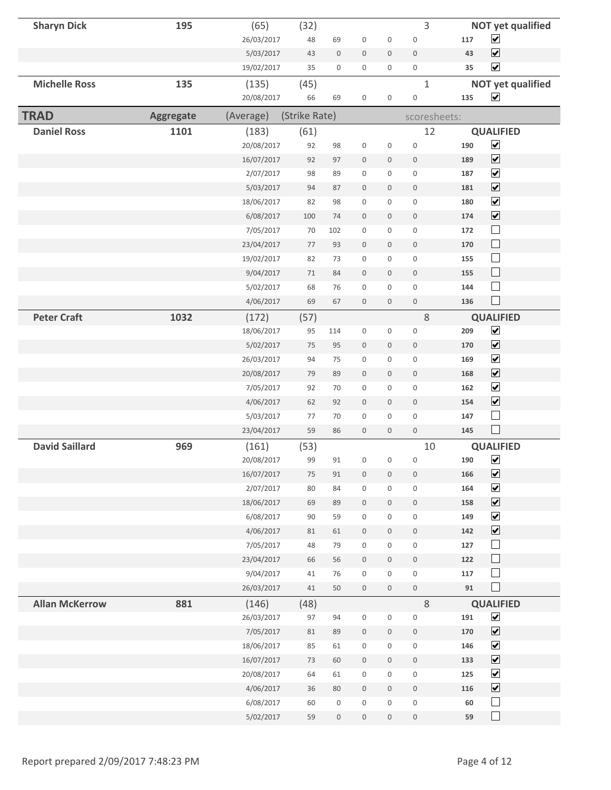| <b>Sharyn Dick</b>    | 195              | (65)       | (32)          |                     |                     |                     | 3                   |          | <b>NOT yet qualified</b>     |
|-----------------------|------------------|------------|---------------|---------------------|---------------------|---------------------|---------------------|----------|------------------------------|
|                       |                  | 26/03/2017 | 48            | 69                  | $\boldsymbol{0}$    | $\boldsymbol{0}$    | $\bf 0$             | 117      | $\blacktriangledown$         |
|                       |                  | 5/03/2017  | 43            | $\boldsymbol{0}$    | $\boldsymbol{0}$    | $\mathbb O$         | $\bf 0$             | 43       | $\overline{\mathbf{v}}$      |
|                       |                  | 19/02/2017 | 35            | $\mathsf{O}\xspace$ | $\mathbf 0$         | $\mathbf 0$         | $\mathsf{O}\xspace$ | 35       | $\blacktriangledown$         |
| <b>Michelle Ross</b>  | 135              | (135)      | (45)          |                     |                     |                     | $\mathbf{1}$        |          | <b>NOT yet qualified</b>     |
|                       |                  | 20/08/2017 | 66            | 69                  | $\boldsymbol{0}$    | 0                   | $\bf 0$             | 135      | $\blacktriangledown$         |
| <b>TRAD</b>           | <b>Aggregate</b> | (Average)  | (Strike Rate) |                     |                     |                     | scoresheets:        |          |                              |
| <b>Daniel Ross</b>    | 1101             | (183)      | (61)          |                     |                     |                     | 12                  |          | <b>QUALIFIED</b>             |
|                       |                  | 20/08/2017 | 92            | 98                  | $\boldsymbol{0}$    | $\mathsf 0$         | $\bf 0$             | 190      | $\blacktriangledown$         |
|                       |                  | 16/07/2017 | 92            | 97                  | $\boldsymbol{0}$    | $\boldsymbol{0}$    | $\mathbf{0}$        | 189      | $\overline{\mathbf{v}}$      |
|                       |                  | 2/07/2017  | 98            | 89                  | $\boldsymbol{0}$    | 0                   | $\mathbf 0$         | 187      | $\overline{\mathbf{v}}$      |
|                       |                  | 5/03/2017  | 94            | 87                  | $\mathbf 0$         | $\mathbf 0$         | $\mathbf{0}$        | 181      | $\overline{\mathbf{v}}$      |
|                       |                  | 18/06/2017 | 82            | 98                  | $\boldsymbol{0}$    | 0                   | $\mathbf 0$         | 180      | $\blacktriangledown$         |
|                       |                  | 6/08/2017  | 100           | 74                  | $\boldsymbol{0}$    | $\boldsymbol{0}$    | $\bf 0$             | 174      | $\blacktriangledown$         |
|                       |                  | 7/05/2017  | 70            | 102                 | $\mathbf 0$         | 0                   | $\mathbf 0$         | 172      | $\Box$                       |
|                       |                  | 23/04/2017 | 77            | 93                  | $\mathbf 0$         | 0                   | $\boldsymbol{0}$    | 170      | $\mathbb{R}^n$               |
|                       |                  | 19/02/2017 | 82            | 73                  | $\mathbf 0$         | 0                   | $\boldsymbol{0}$    | 155      | $\Box$                       |
|                       |                  | 9/04/2017  | 71            | 84                  | $\mathbf 0$         | $\mathbf 0$         | $\mathbf 0$         | 155      | $\Box$                       |
|                       |                  | 5/02/2017  | 68            | 76                  | $\boldsymbol{0}$    | $\mathbf 0$         | $\mathbf 0$         | 144      | $\Box$                       |
|                       |                  | 4/06/2017  | 69            | 67                  | $\mathbf 0$         | $\mathbf 0$         | $\mathbf{0}$        | 136      | $\Box$                       |
| <b>Peter Craft</b>    | 1032             | (172)      | (57)          |                     |                     |                     | $8\,$               |          | <b>QUALIFIED</b>             |
|                       |                  | 18/06/2017 | 95            | 114                 | $\boldsymbol{0}$    | 0                   | $\boldsymbol{0}$    | 209      | $\overline{\mathbf{v}}$      |
|                       |                  | 5/02/2017  | 75            | 95                  | $\boldsymbol{0}$    | $\mathbf 0$         | $\bf 0$             | 170      | $\overline{\mathbf{v}}$      |
|                       |                  | 26/03/2017 | 94            | 75                  | $\mathbf 0$         | $\mathbf{0}$        | $\mathbf 0$         | 169      | $\blacktriangledown$         |
|                       |                  | 20/08/2017 | 79            | 89                  | $\mathbf 0$         | $\mathbf 0$         | $\mathbf{0}$        | 168      | $\blacktriangledown$         |
|                       |                  | 7/05/2017  | 92            | 70                  | $\boldsymbol{0}$    | $\mathbf 0$         | $\mathbf 0$         | 162      | $\blacktriangledown$         |
|                       |                  | 4/06/2017  | 62            | 92                  | $\boldsymbol{0}$    | $\mathbf 0$         | $\bf 0$             | 154      | $\blacktriangledown$         |
|                       |                  | 5/03/2017  | 77            | 70                  | $\mathbf 0$         | $\boldsymbol{0}$    | $\mathbf 0$         | 147      | $\Box$                       |
|                       |                  | 23/04/2017 | 59            | 86                  | $\boldsymbol{0}$    | 0                   | $\mathbf 0$         | 145      | $\mathcal{L}_{\mathcal{A}}$  |
| <b>David Saillard</b> | 969              | (161)      | (53)          |                     |                     |                     | 10                  |          | <b>QUALIFIED</b>             |
|                       |                  | 20/08/2017 | 99            | 91                  | $\boldsymbol{0}$    | $\boldsymbol{0}$    | $\boldsymbol{0}$    | 190      | $\blacktriangledown$         |
|                       |                  | 16/07/2017 | 75            | 91                  | $\mathbb O$         | $\boldsymbol{0}$    | $\bf 0$             | 166      | $\overline{\mathbf{v}}$      |
|                       |                  | 2/07/2017  | 80            | 84                  | $\mathbf 0$         | $\boldsymbol{0}$    | $\boldsymbol{0}$    | 164      | $\blacktriangledown$         |
|                       |                  | 18/06/2017 | 69            | 89                  | $\mathbb O$         | $\mathbf 0$         | $\,0\,$             | 158      | $\boxed{\blacktriangledown}$ |
|                       |                  | 6/08/2017  | 90            | 59                  | $\boldsymbol{0}$    | $\mathsf{O}\xspace$ | $\boldsymbol{0}$    | 149      | $\blacktriangledown$         |
|                       |                  | 4/06/2017  | 81            | 61                  | $\mathbb O$         | $\mathbf 0$         | $\,0\,$             | 142      | $\blacktriangledown$         |
|                       |                  | 7/05/2017  | 48            | 79                  | $\mathsf{O}\xspace$ | $\mathbf 0$         | $\mathbf 0$         | 127      | $\Box$                       |
|                       |                  | 23/04/2017 | 66            | 56                  | $\mathbb O$         | $\mathsf{O}\xspace$ | $\boldsymbol{0}$    | 122      | $\Box$                       |
|                       |                  | 9/04/2017  | 41            | 76                  | $\boldsymbol{0}$    | 0                   | $\mathsf{O}\xspace$ | 117      | $\Box$                       |
|                       |                  | 26/03/2017 | 41            | 50                  | $\mathbb O$         | $\mathsf{O}\xspace$ | $\boldsymbol{0}$    | $\bf 91$ | $\Box$                       |
| <b>Allan McKerrow</b> | 881              | (146)      | (48)          |                     |                     |                     | 8                   |          | <b>QUALIFIED</b>             |
|                       |                  | 26/03/2017 | 97            | 94                  | $\boldsymbol{0}$    | $\mathbf 0$         | $\boldsymbol{0}$    | 191      | $\overline{\mathbf{v}}$      |
|                       |                  | 7/05/2017  | 81            | 89                  | $\boldsymbol{0}$    | $\mathbf 0$         | $\bf 0$             | 170      | $\overline{\mathbf{v}}$      |
|                       |                  | 18/06/2017 | 85            | 61                  | $\boldsymbol{0}$    | 0                   | $\boldsymbol{0}$    | 146      | $\blacktriangledown$         |
|                       |                  | 16/07/2017 | 73            | 60                  | $\mathbb O$         | $\mathbf 0$         | $\boldsymbol{0}$    | 133      | $\overline{\mathbf{v}}$      |
|                       |                  | 20/08/2017 | 64            | 61                  | $\mathbf 0$         | $\mathbf 0$         | $\boldsymbol{0}$    | 125      | $\blacktriangledown$         |
|                       |                  | 4/06/2017  | 36            | 80                  | $\mathbb O$         | $\mathbf 0$         | $\bf 0$             | 116      | $\overline{\mathbf{v}}$      |
|                       |                  | 6/08/2017  | 60            | $\boldsymbol{0}$    | $\boldsymbol{0}$    | $\mathbf 0$         | $\boldsymbol{0}$    | 60       | $\Box$                       |
|                       |                  | 5/02/2017  | 59            | $\boldsymbol{0}$    | $\boldsymbol{0}$    | 0                   | $\boldsymbol{0}$    | 59       | $\Box$                       |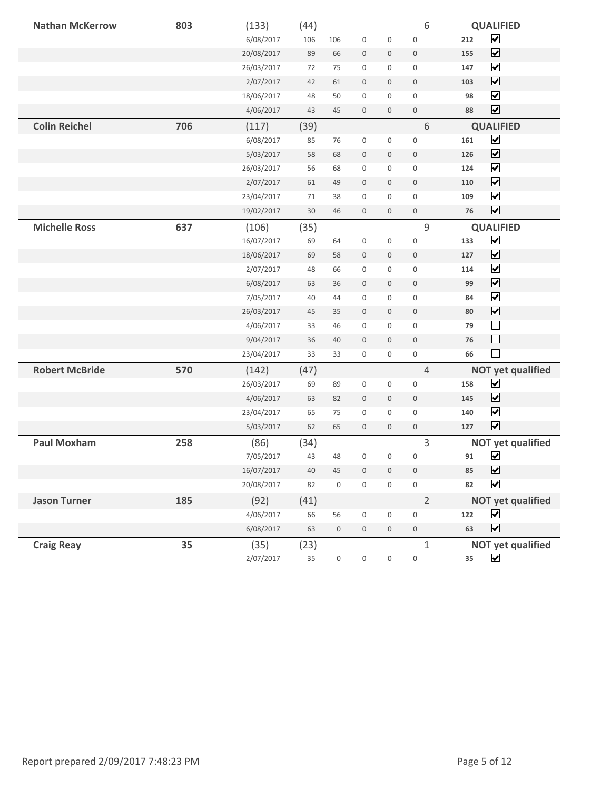| <b>Nathan McKerrow</b> | 803 | (133)      | (44)   |                     |                     |                  | 6                   |     | <b>QUALIFIED</b>         |
|------------------------|-----|------------|--------|---------------------|---------------------|------------------|---------------------|-----|--------------------------|
|                        |     | 6/08/2017  | 106    | 106                 | $\boldsymbol{0}$    | $\boldsymbol{0}$ | $\mathbf 0$         | 212 | $\blacktriangledown$     |
|                        |     | 20/08/2017 | 89     | 66                  | $\bf 0$             | $\boldsymbol{0}$ | $\boldsymbol{0}$    | 155 | $\blacktriangledown$     |
|                        |     | 26/03/2017 | $72\,$ | 75                  | $\boldsymbol{0}$    | 0                | $\mathbf 0$         | 147 | $\blacktriangledown$     |
|                        |     | 2/07/2017  | 42     | 61                  | $\boldsymbol{0}$    | 0                | $\boldsymbol{0}$    | 103 | $\overline{\mathbf{v}}$  |
|                        |     | 18/06/2017 | 48     | 50                  | $\boldsymbol{0}$    | 0                | $\mathsf{O}$        | 98  | $\blacktriangledown$     |
|                        |     | 4/06/2017  | 43     | 45                  | $\mathbf 0$         | $\mathbf 0$      | $\mathbf{0}$        | 88  | $\overline{\mathbf{v}}$  |
| <b>Colin Reichel</b>   | 706 | (117)      | (39)   |                     |                     |                  | 6                   |     | <b>QUALIFIED</b>         |
|                        |     | 6/08/2017  | 85     | 76                  | $\boldsymbol{0}$    | $\boldsymbol{0}$ | $\mathbf 0$         | 161 | $\blacktriangledown$     |
|                        |     | 5/03/2017  | 58     | 68                  | $\boldsymbol{0}$    | $\boldsymbol{0}$ | $\bf 0$             | 126 | $\blacktriangledown$     |
|                        |     | 26/03/2017 | 56     | 68                  | $\boldsymbol{0}$    | 0                | $\mathsf{O}\xspace$ | 124 | $\overline{\mathbf{v}}$  |
|                        |     | 2/07/2017  | 61     | 49                  | $\boldsymbol{0}$    | $\boldsymbol{0}$ | $\bf 0$             | 110 | $\overline{\mathbf{v}}$  |
|                        |     | 23/04/2017 | 71     | 38                  | $\mathbf 0$         | $\mathbf 0$      | $\mathbf 0$         | 109 | $\blacktriangledown$     |
|                        |     | 19/02/2017 | 30     | 46                  | $\mathsf{O}\xspace$ | $\boldsymbol{0}$ | $\mathsf{O}\xspace$ | 76  | $\overline{\mathbf{v}}$  |
| <b>Michelle Ross</b>   | 637 | (106)      | (35)   |                     |                     |                  | $\mathsf 9$         |     | <b>QUALIFIED</b>         |
|                        |     | 16/07/2017 | 69     | 64                  | $\boldsymbol{0}$    | $\boldsymbol{0}$ | $\boldsymbol{0}$    | 133 | $\blacktriangledown$     |
|                        |     | 18/06/2017 | 69     | 58                  | $\mathsf{O}\xspace$ | 0                | $\bf 0$             | 127 | $\blacktriangledown$     |
|                        |     | 2/07/2017  | 48     | 66                  | $\boldsymbol{0}$    | $\mathbf 0$      | $\mathbf 0$         | 114 | $\blacktriangledown$     |
|                        |     | 6/08/2017  | 63     | 36                  | $\mathsf{O}\xspace$ | $\mathbf 0$      | $\mathbf 0$         | 99  | $\overline{\mathbf{v}}$  |
|                        |     | 7/05/2017  | 40     | 44                  | $\mathbf 0$         | 0                | $\mathbf 0$         | 84  | $\overline{\mathbf{v}}$  |
|                        |     | 26/03/2017 | 45     | 35                  | $\mathbf 0$         | $\mathbf 0$      | $\mathbf 0$         | 80  | $\overline{\mathbf{v}}$  |
|                        |     | 4/06/2017  | 33     | 46                  | $\boldsymbol{0}$    | $\mathbf 0$      | $\boldsymbol{0}$    | 79  | $\Box$                   |
|                        |     | 9/04/2017  | 36     | 40                  | $\mathbf{0}$        | $\mathbf 0$      | $\bf 0$             | 76  | $\Box$                   |
|                        |     | 23/04/2017 | 33     | 33                  | $\boldsymbol{0}$    | 0                | $\boldsymbol{0}$    | 66  |                          |
| <b>Robert McBride</b>  | 570 | (142)      | (47)   |                     |                     |                  | 4                   |     | <b>NOT yet qualified</b> |
|                        |     | 26/03/2017 | 69     | 89                  | $\boldsymbol{0}$    | 0                | $\boldsymbol{0}$    | 158 | $\blacktriangledown$     |
|                        |     | 4/06/2017  | 63     | 82                  | $\boldsymbol{0}$    | $\boldsymbol{0}$ | $\bf 0$             | 145 | $\blacktriangledown$     |
|                        |     | 23/04/2017 | 65     | 75                  | $\mathbf 0$         | $\mathbf 0$      | $\mathbf 0$         | 140 | $\blacktriangledown$     |
|                        |     | 5/03/2017  | 62     | 65                  | $\mathbf 0$         | $\mathbf 0$      | $\boldsymbol{0}$    | 127 | $\blacktriangledown$     |
| <b>Paul Moxham</b>     | 258 | (86)       | (34)   |                     |                     |                  | 3                   |     | <b>NOT yet qualified</b> |
|                        |     | 7/05/2017  | 43     | 48                  | 0                   | $\boldsymbol{0}$ | $\boldsymbol{0}$    | 91  | $\overline{\mathbf{v}}$  |
|                        |     | 16/07/2017 | 40     | 45                  | $\boldsymbol{0}$    | $\boldsymbol{0}$ | $\boldsymbol{0}$    | 85  | $\blacktriangledown$     |
|                        |     | 20/08/2017 | 82     | $\mathsf{O}\xspace$ | $\mathsf{O}\xspace$ | $\boldsymbol{0}$ | $\boldsymbol{0}$    | 82  | $\overline{\mathbf{v}}$  |
| <b>Jason Turner</b>    | 185 | (92)       | (41)   |                     |                     |                  | $\overline{2}$      |     | <b>NOT yet qualified</b> |
|                        |     | 4/06/2017  | 66     | 56                  | $\boldsymbol{0}$    | 0                | $\boldsymbol{0}$    | 122 | $\blacktriangledown$     |
|                        |     | 6/08/2017  | 63     | $\boldsymbol{0}$    | $\boldsymbol{0}$    | $\boldsymbol{0}$ | $\,0\,$             | 63  | $\blacktriangledown$     |
| <b>Craig Reay</b>      | 35  | (35)       | (23)   |                     |                     |                  | $\mathbf 1$         |     | <b>NOT yet qualified</b> |
|                        |     | 2/07/2017  | 35     | $\boldsymbol{0}$    | $\boldsymbol{0}$    | 0                | $\boldsymbol{0}$    | 35  | $\blacktriangledown$     |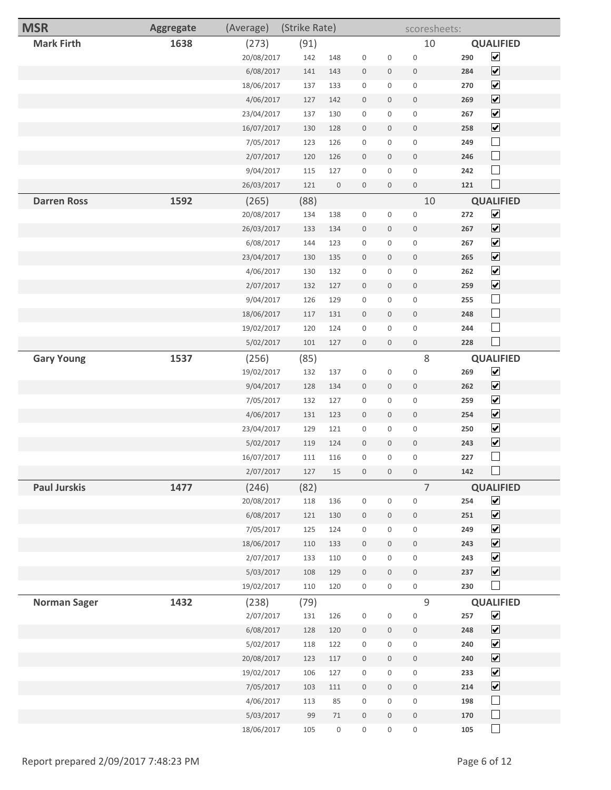| <b>MSR</b>          | Aggregate | (Average)               | (Strike Rate) |                  |                             |                  | scoresheets:                       |            |                                              |
|---------------------|-----------|-------------------------|---------------|------------------|-----------------------------|------------------|------------------------------------|------------|----------------------------------------------|
| <b>Mark Firth</b>   | 1638      | (273)                   | (91)          |                  |                             |                  | 10                                 |            | <b>QUALIFIED</b>                             |
|                     |           | 20/08/2017              | 142           | 148              | $\boldsymbol{0}$            | 0                | $\mathbf 0$                        | 290        | $\blacktriangledown$                         |
|                     |           | 6/08/2017               | 141           | 143              | $\boldsymbol{0}$            | $\mathbf 0$      | $\boldsymbol{0}$                   | 284        | $\blacktriangledown$                         |
|                     |           | 18/06/2017              | 137           | 133              | $\mathsf{O}\xspace$         | 0                | $\mathbf 0$                        | 270        | $\blacktriangledown$                         |
|                     |           | 4/06/2017               | 127           | 142              | $\boldsymbol{0}$            | $\mathbf 0$      | $\boldsymbol{0}$                   | 269        | $\blacktriangledown$                         |
|                     |           | 23/04/2017              | 137           | 130              | $\boldsymbol{0}$            | 0                | $\mathsf{O}\xspace$                | 267        | $\blacktriangledown$                         |
|                     |           | 16/07/2017              | 130           | 128              | $\bf 0$                     | $\boldsymbol{0}$ | $\bf 0$                            | 258        | $\blacktriangledown$                         |
|                     |           | 7/05/2017               | 123           | 126              | $\boldsymbol{0}$            | $\boldsymbol{0}$ | $\mathbf 0$                        | 249        | $\Box$                                       |
|                     |           | 2/07/2017               | 120           | 126              | $\boldsymbol{0}$            | $\mathbf 0$      | $\boldsymbol{0}$                   | 246        | $\Box$                                       |
|                     |           | 9/04/2017               | 115           | 127              | $\boldsymbol{0}$            | 0                | $\mathsf{O}\xspace$                | 242        | $\Box$                                       |
|                     |           | 26/03/2017              | 121           | $\boldsymbol{0}$ | $\bf 0$                     | 0                | $\mathbf 0$                        | 121        | $\Box$                                       |
| <b>Darren Ross</b>  | 1592      | (265)                   | (88)          |                  |                             |                  | 10                                 |            | <b>QUALIFIED</b>                             |
|                     |           | 20/08/2017              | 134           | 138              | $\boldsymbol{0}$            | 0                | $\boldsymbol{0}$                   | 272        | $\blacktriangledown$                         |
|                     |           | 26/03/2017              | 133           | 134              | $\boldsymbol{0}$            | $\mathbf 0$      | $\mathbb O$                        | 267        | $\blacktriangledown$                         |
|                     |           | 6/08/2017               | 144           | 123              | $\boldsymbol{0}$            | 0                | $\boldsymbol{0}$                   | 267        | $\blacktriangledown$                         |
|                     |           | 23/04/2017              | 130           | 135              | $\bf 0$                     | $\boldsymbol{0}$ | $\mathbb O$                        | 265        | $\blacktriangledown$                         |
|                     |           | 4/06/2017               | 130           | 132              | $\boldsymbol{0}$            | 0                | $\boldsymbol{0}$                   | 262        | $\blacktriangledown$                         |
|                     |           | 2/07/2017               | 132           | 127              | $\boldsymbol{0}$            | $\mathbf 0$      | $\boldsymbol{0}$                   | 259        | $\blacktriangledown$                         |
|                     |           | 9/04/2017               | 126           | 129              | $\boldsymbol{0}$            | 0                | $\mathsf{O}\xspace$                | 255        | $\Box$                                       |
|                     |           | 18/06/2017              | 117           | 131              | $\bf 0$                     | $\boldsymbol{0}$ | $\boldsymbol{0}$                   | 248        | $\Box$                                       |
|                     |           | 19/02/2017              | 120           | 124              | $\boldsymbol{0}$            | $\boldsymbol{0}$ | $\boldsymbol{0}$                   | 244        | $\Box$                                       |
|                     |           | 5/02/2017               | 101           | 127              | $\mathbf 0$                 | $\boldsymbol{0}$ | $\mathbf 0$                        | 228        |                                              |
| <b>Gary Young</b>   | 1537      | (256)                   | (85)          |                  |                             |                  | 8                                  |            | <b>QUALIFIED</b>                             |
|                     |           | 19/02/2017              | 132           | 137              | $\boldsymbol{0}$            | 0                | $\boldsymbol{0}$                   | 269        | $\blacktriangledown$                         |
|                     |           | 9/04/2017               | 128           | 134              | $\bf 0$                     | 0                | $\boldsymbol{0}$                   | 262        | $\blacktriangledown$                         |
|                     |           | 7/05/2017               | 132           | 127              | $\boldsymbol{0}$            | $\mathbf 0$      | $\boldsymbol{0}$                   | 259        | $\blacktriangledown$                         |
|                     |           | 4/06/2017               | 131           | 123              | $\bf 0$                     | 0                | $\bf 0$                            | 254        | $\blacktriangledown$                         |
|                     |           | 23/04/2017              | 129           | 121              | $\boldsymbol{0}$            | 0                | $\boldsymbol{0}$                   | 250        | $\blacktriangledown$                         |
|                     |           | 5/02/2017               | 119           | 124              | $\mathbf 0$                 | 0                | $\mathbf 0$                        | 243        | $\blacktriangledown$                         |
|                     |           | 16/07/2017              | 111           | 116              | $\boldsymbol{0}$            | $\mathbf 0$      | $\bf 0$                            | 227        | $\Box$                                       |
|                     |           | 2/07/2017               | 127           | 15               | $\boldsymbol{0}$            | $\boldsymbol{0}$ | $\boldsymbol{0}$                   | 142        |                                              |
| <b>Paul Jurskis</b> | 1477      | (246)                   | (82)          |                  |                             |                  | $\overline{7}$                     |            | <b>QUALIFIED</b>                             |
|                     |           | 20/08/2017              | 118           | 136              | $\boldsymbol{0}$            | $\boldsymbol{0}$ | $\boldsymbol{0}$                   | 254        | $\blacktriangledown$<br>$\blacktriangledown$ |
|                     |           | 6/08/2017               | 121           | 130              | $\,0\,$                     | $\boldsymbol{0}$ | $\boldsymbol{0}$                   | 251        | $\blacktriangledown$                         |
|                     |           | 7/05/2017               | 125           | 124              | $\boldsymbol{0}$            | 0                | $\boldsymbol{0}$                   | 249        | $\blacktriangledown$                         |
|                     |           | 18/06/2017<br>2/07/2017 | 110<br>133    | 133<br>110       | $\,0\,$<br>$\boldsymbol{0}$ | $\mathbf 0$<br>0 | $\mathbb O$<br>$\mathsf{O}\xspace$ | 243<br>243 | $\blacktriangledown$                         |
|                     |           | 5/03/2017               | 108           | 129              | $\,0\,$                     | $\mathbf 0$      | $\mathsf{O}$                       | 237        | $\blacktriangledown$                         |
|                     |           | 19/02/2017              | 110           | 120              | $\boldsymbol{0}$            | 0                | $\boldsymbol{0}$                   | 230        | $\Box$                                       |
| <b>Norman Sager</b> | 1432      | (238)                   | (79)          |                  |                             |                  | $\mathcal{G}$                      |            | <b>QUALIFIED</b>                             |
|                     |           | 2/07/2017               | 131           | 126              | $\boldsymbol{0}$            | $\boldsymbol{0}$ | $\boldsymbol{0}$                   | 257        | $\blacktriangledown$                         |
|                     |           | 6/08/2017               | 128           | 120              | $\boldsymbol{0}$            | 0                | $\boldsymbol{0}$                   | 248        | $\blacktriangledown$                         |
|                     |           | 5/02/2017               | 118           | 122              | $\boldsymbol{0}$            | 0                | $\boldsymbol{0}$                   | 240        | $\blacktriangledown$                         |
|                     |           | 20/08/2017              | 123           | 117              | $\boldsymbol{0}$            | 0                | $\mathbf 0$                        | 240        | $\blacktriangledown$                         |
|                     |           | 19/02/2017              | 106           | 127              | $\bf 0$                     | 0                | $\boldsymbol{0}$                   | 233        | $\blacktriangledown$                         |
|                     |           | 7/05/2017               | 103           | 111              | $\mathbf 0$                 | $\mathbf 0$      | $\boldsymbol{0}$                   | 214        | $\blacktriangledown$                         |
|                     |           | 4/06/2017               | 113           | 85               | $\boldsymbol{0}$            | 0                | $\boldsymbol{0}$                   | 198        | $\overline{\phantom{a}}$                     |
|                     |           | 5/03/2017               | 99            | $71\,$           | $\mathbf 0$                 | $\mathbf 0$      | $\mathbb O$                        | 170        | $\Box$                                       |
|                     |           | 18/06/2017              | 105           | $\boldsymbol{0}$ | $\boldsymbol{0}$            | $\boldsymbol{0}$ | $\boldsymbol{0}$                   | 105        | $\Box$                                       |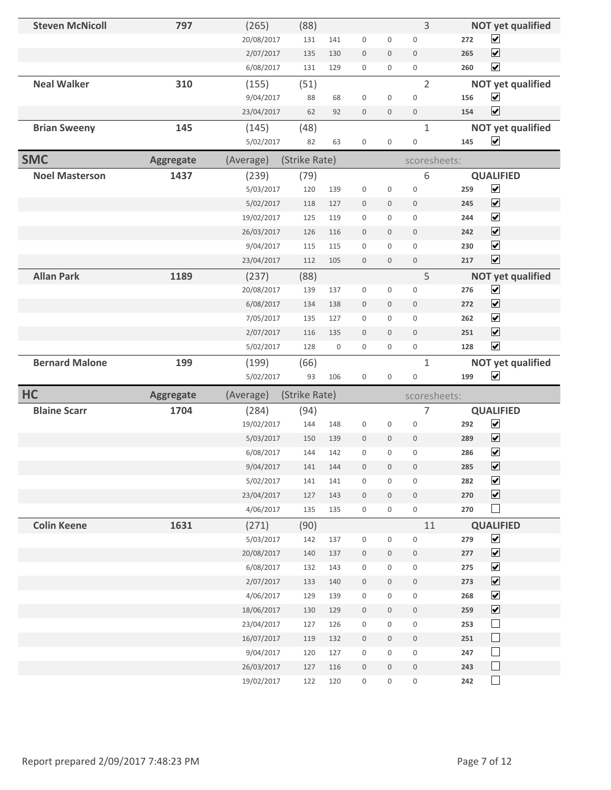| <b>Steven McNicoll</b> | 797              | (265)      | (88)          |             |                     |                  | 3                   |     | <b>NOT yet qualified</b> |
|------------------------|------------------|------------|---------------|-------------|---------------------|------------------|---------------------|-----|--------------------------|
|                        |                  | 20/08/2017 | 131           | 141         | $\mathbf 0$         | 0                | $\mathbf 0$         | 272 | $\blacktriangledown$     |
|                        |                  | 2/07/2017  | 135           | 130         | $\mathbf 0$         | $\mathbf 0$      | $\mathbf 0$         | 265 | $\blacktriangledown$     |
|                        |                  | 6/08/2017  | 131           | 129         | $\mathbf 0$         | 0                | $\boldsymbol{0}$    | 260 | $\blacktriangledown$     |
| <b>Neal Walker</b>     | 310              | (155)      | (51)          |             |                     |                  | $\overline{2}$      |     | <b>NOT yet qualified</b> |
|                        |                  | 9/04/2017  | 88            | 68          | 0                   | $\mathsf 0$      | $\mathbf 0$         | 156 | $\blacktriangledown$     |
|                        |                  | 23/04/2017 | 62            | 92          | $\mathbf 0$         | $\mathbf 0$      | $\boldsymbol{0}$    | 154 | $\overline{\mathbf{v}}$  |
| <b>Brian Sweeny</b>    | 145              | (145)      | (48)          |             |                     |                  | $\mathbf{1}$        |     | <b>NOT yet qualified</b> |
|                        |                  | 5/02/2017  | 82            | 63          | $\mathsf 0$         | $\mathsf 0$      | $\mathbf 0$         | 145 | $\blacktriangledown$     |
| <b>SMC</b>             | <b>Aggregate</b> | (Average)  | (Strike Rate) |             |                     |                  | scoresheets:        |     |                          |
| <b>Noel Masterson</b>  | 1437             | (239)      | (79)          |             |                     |                  | 6                   |     | <b>QUALIFIED</b>         |
|                        |                  | 5/03/2017  | 120           | 139         | $\mathsf 0$         | $\mathsf 0$      | $\mathbf 0$         | 259 | $\blacktriangledown$     |
|                        |                  | 5/02/2017  | 118           | 127         | $\mathbf 0$         | $\mathbf 0$      | $\mathbf 0$         | 245 | $\overline{\mathbf{v}}$  |
|                        |                  | 19/02/2017 | 125           | 119         | $\mathsf{O}\xspace$ | 0                | $\mathbf{0}$        | 244 | $\blacktriangledown$     |
|                        |                  | 26/03/2017 | 126           | 116         | $\mathbf 0$         | $\mathbf 0$      | $\mathsf{O}\xspace$ | 242 | $\blacktriangledown$     |
|                        |                  | 9/04/2017  | 115           | 115         | $\mathbf 0$         | 0                | $\mathbf 0$         | 230 | $\blacktriangledown$     |
|                        |                  | 23/04/2017 | 112           | 105         | $\mathbf{0}$        | $\mathbf 0$      | $\mathbf 0$         | 217 | $\blacktriangledown$     |
| <b>Allan Park</b>      | 1189             | (237)      | (88)          |             |                     |                  | 5                   |     | <b>NOT yet qualified</b> |
|                        |                  | 20/08/2017 | 139           | 137         | $\boldsymbol{0}$    | $\mathsf 0$      | $\mathbf 0$         | 276 | $\blacktriangledown$     |
|                        |                  | 6/08/2017  | 134           | 138         | $\boldsymbol{0}$    | $\boldsymbol{0}$ | $\mathbf{0}$        | 272 | $\blacktriangledown$     |
|                        |                  | 7/05/2017  | 135           | 127         | $\boldsymbol{0}$    | 0                | $\mathbf 0$         | 262 | $\overline{\mathbf{v}}$  |
|                        |                  | 2/07/2017  | 116           | 135         | $\mathbf 0$         | $\mathbf 0$      | $\mathbf{0}$        | 251 | $\overline{\mathbf{v}}$  |
|                        |                  | 5/02/2017  | 128           | $\mathbf 0$ | $\mathsf{O}\xspace$ | 0                | $\boldsymbol{0}$    | 128 | $\overline{\mathbf{v}}$  |
|                        |                  |            |               |             |                     |                  |                     |     |                          |
| <b>Bernard Malone</b>  | 199              | (199)      | (66)          |             |                     |                  | $\mathbf{1}$        |     | <b>NOT yet qualified</b> |
|                        |                  | 5/02/2017  | 93            | 106         | 0                   | 0                | $\boldsymbol{0}$    | 199 | $\blacktriangledown$     |
| HC                     | <b>Aggregate</b> | (Average)  | (Strike Rate) |             |                     |                  | scoresheets:        |     |                          |
| <b>Blaine Scarr</b>    | 1704             | (284)      | (94)          |             |                     |                  | 7                   |     | <b>QUALIFIED</b>         |
|                        |                  | 19/02/2017 | 144           | 148         | 0                   | $\boldsymbol{0}$ | $\mathbf 0$         | 292 | $\blacktriangledown$     |
|                        |                  | 5/03/2017  | 150           | 139         | $\mathbf 0$         | $\mathbf 0$      | $\mathbf 0$         | 289 | $\overline{\mathbf{v}}$  |
|                        |                  | 6/08/2017  | 144           | 142         | 0                   | 0                | $\overline{0}$      | 286 | $\blacktriangledown$     |
|                        |                  | 9/04/2017  | 141           | 144         | 0                   | $\boldsymbol{0}$ | $\boldsymbol{0}$    | 285 | $\blacktriangledown$     |
|                        |                  | 5/02/2017  | 141           | 141         | $\boldsymbol{0}$    | $\mathsf 0$      | $\boldsymbol{0}$    | 282 | $\blacktriangledown$     |
|                        |                  | 23/04/2017 | 127           | 143         | $\boldsymbol{0}$    | $\mathbf 0$      | $\boldsymbol{0}$    | 270 | $\overline{\mathbf{v}}$  |
|                        |                  | 4/06/2017  | 135           | 135         | $\mathsf{O}$        | 0                | $\mathsf{O}\xspace$ | 270 | $\Box$                   |
| <b>Colin Keene</b>     | 1631             | (271)      | (90)          |             |                     |                  | 11                  |     | <b>QUALIFIED</b>         |
|                        |                  | 5/03/2017  | 142           | 137         | $\boldsymbol{0}$    | 0                | $\boldsymbol{0}$    | 279 | $\overline{\mathbf{v}}$  |
|                        |                  | 20/08/2017 | 140           | 137         | $\mathbb O$         | $\mathbf 0$      | $\mathbf 0$         | 277 | $\blacktriangledown$     |
|                        |                  | 6/08/2017  | 132           | 143         | $\boldsymbol{0}$    | 0                | $\mathsf{O}\xspace$ | 275 | $\blacktriangledown$     |
|                        |                  | 2/07/2017  | 133           | 140         | $\boldsymbol{0}$    | $\mathbf 0$      | $\mathbb O$         | 273 | $\blacktriangledown$     |
|                        |                  | 4/06/2017  | 129           | 139         | $\boldsymbol{0}$    | 0                | $\boldsymbol{0}$    | 268 | $\blacktriangledown$     |
|                        |                  | 18/06/2017 | 130           | 129         | 0                   | $\mathbf 0$      | $\boldsymbol{0}$    | 259 | $\blacktriangledown$     |
|                        |                  | 23/04/2017 | 127           | 126         | $\boldsymbol{0}$    | 0                | $\,0\,$             | 253 | $\Box$                   |
|                        |                  | 16/07/2017 | 119           | 132         | $\mathbf 0$         | 0                | $\mathbf 0$         | 251 | $\Box$                   |
|                        |                  | 9/04/2017  | 120           | 127         | $\boldsymbol{0}$    | 0                | $\boldsymbol{0}$    | 247 | $\Box$                   |
|                        |                  | 26/03/2017 | 127           | 116         | $\mathbf 0$         | $\mathbf 0$      | $\mathbf 0$         | 243 | $\Box$<br>$\Box$         |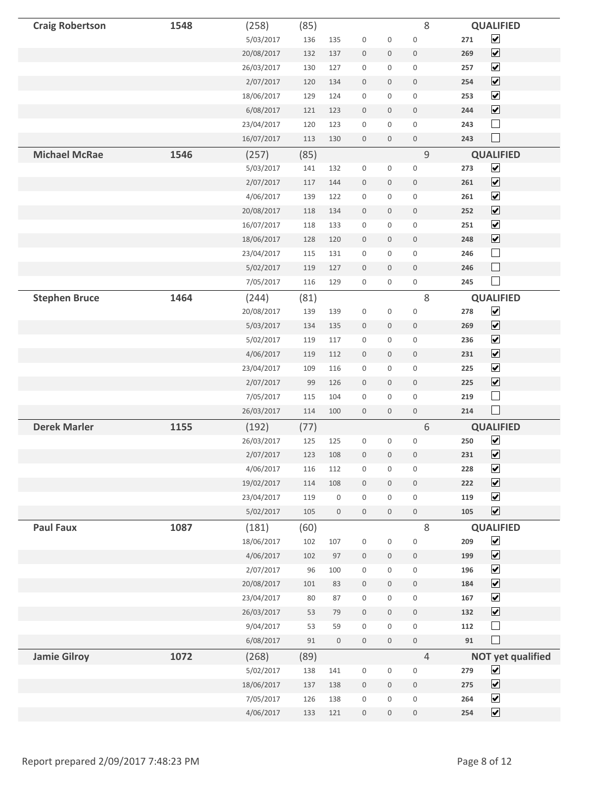| <b>Craig Robertson</b> | 1548 | (258)                   | (85)      |                     |                                 |                  | 8                                       | <b>QUALIFIED</b>                                           |
|------------------------|------|-------------------------|-----------|---------------------|---------------------------------|------------------|-----------------------------------------|------------------------------------------------------------|
|                        |      | 5/03/2017               | 136       | 135                 | $\boldsymbol{0}$                | $\boldsymbol{0}$ | $\mathbf 0$                             | $\blacktriangledown$<br>271                                |
|                        |      | 20/08/2017              | 132       | 137                 | $\boldsymbol{0}$                | $\boldsymbol{0}$ | $\boldsymbol{0}$                        | $\blacktriangledown$<br>269                                |
|                        |      | 26/03/2017              | 130       | 127                 | $\boldsymbol{0}$                | 0                | $\boldsymbol{0}$                        | $\blacktriangledown$<br>257                                |
|                        |      | 2/07/2017               | 120       | 134                 | $\boldsymbol{0}$                | $\mathbf 0$      | $\mathsf{O}\xspace$                     | $\blacktriangledown$<br>254                                |
|                        |      | 18/06/2017              | 129       | 124                 | $\boldsymbol{0}$                | 0                | $\boldsymbol{0}$                        | $\blacktriangledown$<br>253                                |
|                        |      | 6/08/2017               | 121       | 123                 | $\mathbb O$                     | $\mathbf 0$      | $\boldsymbol{0}$                        | $\blacktriangledown$<br>244                                |
|                        |      | 23/04/2017              | 120       | 123                 | $\mathsf 0$                     | 0                | $\boldsymbol{0}$                        | $\Box$<br>243                                              |
|                        |      | 16/07/2017              | 113       | 130                 | $\boldsymbol{0}$                | $\boldsymbol{0}$ | $\boldsymbol{0}$                        | $\Box$<br>243                                              |
| <b>Michael McRae</b>   | 1546 | (257)                   | (85)      |                     |                                 |                  | $\mathsf g$                             | <b>QUALIFIED</b>                                           |
|                        |      | 5/03/2017               | 141       | 132                 | $\boldsymbol{0}$                | 0                | $\boldsymbol{0}$                        | $\overline{\mathbf{v}}$<br>273                             |
|                        |      | 2/07/2017               | 117       | 144                 | $\mathbb O$                     | $\mathbf 0$      | $\mathbf 0$                             | $\overline{\mathbf{v}}$<br>261                             |
|                        |      | 4/06/2017               | 139       | 122                 | $\boldsymbol{0}$                | 0                | $\boldsymbol{0}$                        | $\blacktriangledown$<br>261                                |
|                        |      | 20/08/2017              | 118       | 134                 | $\boldsymbol{0}$                | $\mathbf 0$      | $\boldsymbol{0}$                        | $\blacktriangledown$<br>252                                |
|                        |      | 16/07/2017              | 118       | 133                 | $\boldsymbol{0}$                | $\mathsf 0$      | $\mathbf 0$                             | $\blacktriangledown$<br>251                                |
|                        |      | 18/06/2017              | 128       | 120                 | $\boldsymbol{0}$                | $\boldsymbol{0}$ | $\boldsymbol{0}$                        | $\blacktriangledown$<br>248                                |
|                        |      | 23/04/2017              | 115       | 131                 | $\boldsymbol{0}$                | 0                | $\boldsymbol{0}$                        | $\Box$<br>246                                              |
|                        |      | 5/02/2017               | 119       | 127                 | $\boldsymbol{0}$                | $\boldsymbol{0}$ | $\,0\,$                                 | $\Box$<br>246                                              |
|                        |      | 7/05/2017               | 116       | 129                 | $\boldsymbol{0}$                | 0                | $\boldsymbol{0}$                        | $\Box$<br>245                                              |
| <b>Stephen Bruce</b>   | 1464 | (244)                   | (81)      |                     |                                 |                  | 8                                       | <b>QUALIFIED</b>                                           |
|                        |      | 20/08/2017              | 139       | 139                 | 0                               | $\mathbf 0$      | $\boldsymbol{0}$                        | $\overline{\mathbf{v}}$<br>278                             |
|                        |      | 5/03/2017               | 134       | 135                 | $\mathbb O$                     | $\boldsymbol{0}$ | $\boldsymbol{0}$                        | $\blacktriangledown$<br>269                                |
|                        |      | 5/02/2017               | 119       | 117                 | $\boldsymbol{0}$                | 0                | $\boldsymbol{0}$                        | $\blacktriangledown$<br>236                                |
|                        |      | 4/06/2017               | 119       | 112                 | $\boldsymbol{0}$                | $\boldsymbol{0}$ | $\boldsymbol{0}$                        | $\blacktriangledown$<br>231                                |
|                        |      | 23/04/2017              | 109       | 116                 | $\mathbf 0$                     | $\mathsf 0$      | $\boldsymbol{0}$                        | $\blacktriangledown$<br>225                                |
|                        |      | 2/07/2017               | 99        | 126                 | $\boldsymbol{0}$                | $\boldsymbol{0}$ | $\boldsymbol{0}$                        | $\blacktriangledown$<br>225                                |
|                        |      | 7/05/2017               | 115       | 104                 | $\boldsymbol{0}$                | $\mathbf 0$      | $\boldsymbol{0}$                        | $\Box$<br>219                                              |
|                        |      | 26/03/2017              | 114       | 100                 | $\boldsymbol{0}$                | $\boldsymbol{0}$ | $\boldsymbol{0}$                        | $\Box$<br>214                                              |
| <b>Derek Marler</b>    | 1155 | (192)                   | (77)      |                     |                                 |                  | 6                                       | <b>QUALIFIED</b>                                           |
|                        |      | 26/03/2017              | 125       | 125                 | $\boldsymbol{0}$                | $\boldsymbol{0}$ | $\boldsymbol{0}$                        | $\blacktriangleright$<br>250                               |
|                        |      | 2/07/2017               | 123       | 108                 | $\mathbf 0$                     | $\boldsymbol{0}$ | $\boldsymbol{0}$                        | $\blacktriangledown$<br>231                                |
|                        |      | 4/06/2017               | 116       | 112                 | $\boldsymbol{0}$                | $\boldsymbol{0}$ | $\boldsymbol{0}$                        | $\overline{\mathbf{v}}$<br>228                             |
|                        |      | 19/02/2017              | 114       | 108                 | $\boldsymbol{0}$                | $\boldsymbol{0}$ | $\boldsymbol{0}$                        | $\blacktriangledown$<br>222                                |
|                        |      | 23/04/2017              | 119       | $\mathsf{O}\xspace$ | $\mathbf 0$                     | 0                | $\boldsymbol{0}$                        | $\overline{\mathbf{v}}$<br>119<br>$\blacktriangledown$     |
|                        |      | 5/02/2017               | 105       | $\boldsymbol{0}$    | $\boldsymbol{0}$                | $\boldsymbol{0}$ | $\boldsymbol{0}$                        | 105                                                        |
| <b>Paul Faux</b>       | 1087 | (181)                   | (60)      |                     |                                 |                  | 8                                       | <b>QUALIFIED</b>                                           |
|                        |      | 18/06/2017<br>4/06/2017 | 102       | 107                 | $\boldsymbol{0}$                | $\boldsymbol{0}$ | $\boldsymbol{0}$                        | $\blacktriangledown$<br>209<br>$\blacktriangledown$<br>199 |
|                        |      |                         | 102<br>96 | 97                  | $\boldsymbol{0}$                | $\mathbf 0$      | $\,0\,$                                 | $\blacktriangledown$                                       |
|                        |      | 2/07/2017<br>20/08/2017 | 101       | 100                 | $\boldsymbol{0}$<br>$\mathbb O$ | 0                | $\boldsymbol{0}$                        | 196<br>$\blacktriangledown$<br>184                         |
|                        |      | 23/04/2017              | 80        | 83<br>87            | $\boldsymbol{0}$                | $\mathbf 0$<br>0 | $\mathsf{O}\xspace$<br>$\boldsymbol{0}$ | $\overline{\mathbf{v}}$<br>167                             |
|                        |      | 26/03/2017              | 53        | 79                  | $\boldsymbol{0}$                | $\mathbf 0$      | $\boldsymbol{0}$                        | $\blacktriangledown$<br>132                                |
|                        |      | 9/04/2017               | 53        | 59                  | $\boldsymbol{0}$                | 0                | $\boldsymbol{0}$                        | $\Box$<br>112                                              |
|                        |      | 6/08/2017               | 91        | $\boldsymbol{0}$    | $\mathsf{O}\xspace$             | $\boldsymbol{0}$ | $\boldsymbol{0}$                        | $\Box$<br>91                                               |
| <b>Jamie Gilroy</b>    | 1072 | (268)                   | (89)      |                     |                                 |                  | $\overline{4}$                          | <b>NOT yet qualified</b>                                   |
|                        |      | 5/02/2017               | 138       | 141                 | $\boldsymbol{0}$                | 0                | $\boldsymbol{0}$                        | $\blacktriangledown$<br>279                                |
|                        |      | 18/06/2017              | 137       | 138                 | $\mathbb O$                     | $\boldsymbol{0}$ | $\boldsymbol{0}$                        | $\blacktriangledown$<br>275                                |
|                        |      | 7/05/2017               | 126       | 138                 | $\boldsymbol{0}$                | 0                | $\boldsymbol{0}$                        | $\blacktriangledown$<br>264                                |
|                        |      | 4/06/2017               | 133       | 121                 | $\boldsymbol{0}$                | $\boldsymbol{0}$ | $\boldsymbol{0}$                        | $\blacktriangledown$<br>254                                |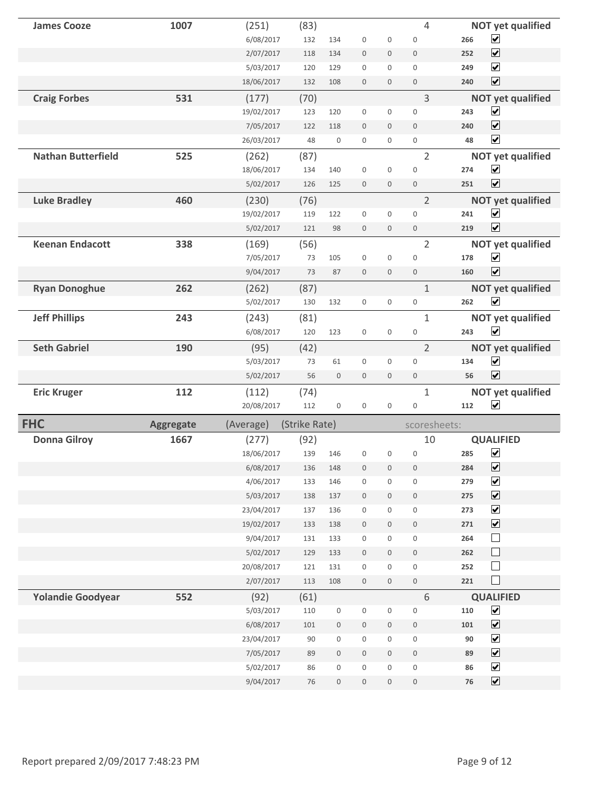| <b>James Cooze</b>        | 1007             | (251)                  | (83)          |                                      |                                      |                                         | $\overline{4}$                       |          | <b>NOT yet qualified</b>                        |
|---------------------------|------------------|------------------------|---------------|--------------------------------------|--------------------------------------|-----------------------------------------|--------------------------------------|----------|-------------------------------------------------|
|                           |                  | 6/08/2017              | 132           | 134                                  | $\mathbf 0$                          | $\mathbf 0$                             | $\mathbf 0$                          | 266      | $\blacktriangledown$                            |
|                           |                  | 2/07/2017              | 118           | 134                                  | $\mathbf 0$                          | $\mathbf 0$                             | $\mathbf 0$                          | 252      | $\blacktriangledown$                            |
|                           |                  | 5/03/2017              | 120           | 129                                  | $\mathbf 0$                          | $\mathbf 0$                             | $\mathbf 0$                          | 249      | $\blacktriangledown$                            |
|                           |                  | 18/06/2017             | 132           | 108                                  | $\mathbf{0}$                         | $\mathbf{0}$                            | $\mathbf{0}$                         | 240      | $\overline{\mathbf{v}}$                         |
| <b>Craig Forbes</b>       | 531              | (177)                  | (70)          |                                      |                                      |                                         | 3                                    |          | <b>NOT yet qualified</b>                        |
|                           |                  | 19/02/2017             | 123           | 120                                  | $\boldsymbol{0}$                     | $\mathsf{O}\xspace$                     | $\mathbf 0$                          | 243      | $\blacktriangledown$                            |
|                           |                  | 7/05/2017              | 122           | 118                                  | $\mathbf 0$                          | $\mathbf 0$                             | $\mathbf{0}$                         | 240      | $\overline{\mathbf{v}}$                         |
|                           |                  | 26/03/2017             | 48            | $\mathbf 0$                          | $\mathbf 0$                          | $\mathbf 0$                             | $\mathbf 0$                          | 48       | $\blacktriangledown$                            |
| <b>Nathan Butterfield</b> | 525              | (262)                  | (87)          |                                      |                                      |                                         | $\overline{2}$                       |          | <b>NOT yet qualified</b>                        |
|                           |                  | 18/06/2017             | 134           | 140                                  | $\boldsymbol{0}$                     | $\mathbf 0$                             | $\mathbf 0$                          | 274      | $\blacktriangledown$                            |
|                           |                  | 5/02/2017              | 126           | 125                                  | $\mathbf 0$                          | $\mathbf 0$                             | $\boldsymbol{0}$                     | 251      | $\blacktriangledown$                            |
| <b>Luke Bradley</b>       | 460              | (230)                  | (76)          |                                      |                                      |                                         | $\overline{2}$                       |          | <b>NOT yet qualified</b>                        |
|                           |                  | 19/02/2017             | 119           | 122                                  | $\mathbf 0$                          | $\mathsf{O}\xspace$                     | $\mathbf{0}$                         | 241      | $\blacktriangledown$                            |
|                           |                  | 5/02/2017              | 121           | 98                                   | $\mathbf 0$                          | $\mathbf 0$                             | $\mathbf{0}$                         | 219      | $\blacktriangledown$                            |
| <b>Keenan Endacott</b>    | 338              | (169)                  | (56)          |                                      |                                      |                                         | $\overline{2}$                       |          | <b>NOT yet qualified</b>                        |
|                           |                  | 7/05/2017              | 73            | 105                                  | $\mathbf 0$                          | $\mathbf 0$                             | $\mathbf 0$                          | 178      | $\blacktriangledown$                            |
|                           |                  | 9/04/2017              | 73            | 87                                   | $\mathbf 0$                          | $\mathbf 0$                             | $\mathbf{0}$                         | 160      | $\overline{\mathbf{v}}$                         |
| <b>Ryan Donoghue</b>      | 262              | (262)                  | (87)          |                                      |                                      |                                         | $\mathbf{1}$                         |          | <b>NOT yet qualified</b>                        |
|                           |                  | 5/02/2017              | 130           | 132                                  | $\mathbf 0$                          | $\boldsymbol{0}$                        | $\mathbf 0$                          | 262      | $\overline{\mathbf{v}}$                         |
| <b>Jeff Phillips</b>      | 243              | (243)                  | (81)          |                                      |                                      |                                         | 1                                    |          | <b>NOT yet qualified</b>                        |
|                           |                  | 6/08/2017              | 120           | 123                                  | $\mathbf 0$                          | $\mathbf 0$                             | $\mathbf 0$                          | 243      | $\blacktriangledown$                            |
| <b>Seth Gabriel</b>       | 190              | (95)                   | (42)          |                                      |                                      |                                         | $\overline{2}$                       |          | <b>NOT yet qualified</b>                        |
|                           |                  |                        | 73            | 61                                   | $\mathbf 0$                          | $\mathbf 0$                             | $\overline{0}$                       | 134      | $\blacktriangledown$                            |
|                           |                  | 5/03/2017              |               |                                      |                                      |                                         |                                      |          |                                                 |
|                           |                  | 5/02/2017              | 56            | $\bf 0$                              | $\mathbf 0$                          | $\mathbf 0$                             | $\bf 0$                              | 56       | $\blacktriangledown$                            |
| <b>Eric Kruger</b>        | 112              | (112)                  | (74)          |                                      |                                      |                                         | $\mathbf{1}$                         |          | <b>NOT yet qualified</b>                        |
|                           |                  | 20/08/2017             | 112           | $\boldsymbol{0}$                     | $\boldsymbol{0}$                     | $\mathbf 0$                             | $\mathbf 0$                          | 112      | $\blacktriangledown$                            |
| <b>FHC</b>                | <b>Aggregate</b> | (Average)              | (Strike Rate) |                                      |                                      |                                         | scoresheets:                         |          |                                                 |
| <b>Donna Gilroy</b>       | 1667             | (277)                  | (92)          |                                      |                                      |                                         | 10                                   |          | <b>QUALIFIED</b>                                |
|                           |                  | 18/06/2017             | 139           | 146                                  | $\boldsymbol{0}$                     | $\mathbf 0$                             | $\mathbf 0$                          | 285      | $\blacktriangledown$                            |
|                           |                  | 6/08/2017              | 136           | 148                                  | $\boldsymbol{0}$                     | $\boldsymbol{0}$                        | $\bf 0$                              | 284      | $\blacktriangledown$                            |
|                           |                  | 4/06/2017              | 133           | 146                                  | $\bf 0$                              | $\mathsf{O}\xspace$                     | $\mathbf 0$                          | 279      | $\overline{\mathbf{v}}$                         |
|                           |                  | 5/03/2017              | 138           | 137                                  | $\mathbf 0$                          | $\boldsymbol{0}$                        | $\boldsymbol{0}$                     | 275      | $\overline{\mathbf{v}}$                         |
|                           |                  | 23/04/2017             | 137           | 136                                  | $\boldsymbol{0}$                     | $\mathsf{O}\xspace$                     | $\mathsf{O}\xspace$                  | 273      | $\overline{\mathbf{v}}$                         |
|                           |                  | 19/02/2017             | 133           | 138                                  | $\mathbf 0$                          | $\boldsymbol{0}$                        | $\mathbf 0$                          | 271      | $\blacktriangledown$                            |
|                           |                  | 9/04/2017              | 131           | 133                                  | $\bf 0$                              | $\mathbf 0$                             | $\mathsf{O}\xspace$                  | 264      | $\mathcal{L}_{\mathcal{A}}$                     |
|                           |                  | 5/02/2017              | 129           | 133                                  | $\boldsymbol{0}$                     | $\mathbf 0$                             | $\bf 0$                              | 262      | $\Box$                                          |
|                           |                  | 20/08/2017             | 121           | 131                                  | $\boldsymbol{0}$                     | $\mathbf 0$                             | $\mathbf 0$                          | 252      | $\mathcal{L}_{\mathcal{A}}$                     |
|                           |                  | 2/07/2017              | 113           | 108                                  | $\mathsf{O}\xspace$                  | $\boldsymbol{0}$                        | $\mathbf 0$                          | 221      | $\Box$                                          |
| <b>Yolandie Goodyear</b>  | 552              | (92)                   | (61)          |                                      |                                      |                                         | $6\,$                                |          | <b>QUALIFIED</b>                                |
|                           |                  | 5/03/2017              | 110           | $\mathsf{O}\xspace$                  | $\boldsymbol{0}$                     | $\boldsymbol{0}$                        | $\boldsymbol{0}$                     | 110      | $\overline{\mathbf{v}}$                         |
|                           |                  | 6/08/2017              | 101           | $\mathsf{O}\xspace$                  | $\boldsymbol{0}$                     | $\mathbb O$                             | $\bf 0$                              | 101      | $\blacktriangledown$                            |
|                           |                  | 23/04/2017             | 90            | $\mathsf{O}\xspace$                  | $\boldsymbol{0}$                     | $\mathbf 0$                             | $\mathsf{O}\xspace$                  | 90       | $\overline{\mathbf{v}}$                         |
|                           |                  | 7/05/2017              | 89            | $\,0\,$                              | $\boldsymbol{0}$                     | $\mathbf 0$                             | $\boldsymbol{0}$                     | 89       | $\overline{\mathbf{v}}$                         |
|                           |                  | 5/02/2017<br>9/04/2017 | 86<br>76      | $\boldsymbol{0}$<br>$\boldsymbol{0}$ | $\boldsymbol{0}$<br>$\boldsymbol{0}$ | $\mathsf{O}\xspace$<br>$\boldsymbol{0}$ | $\boldsymbol{0}$<br>$\boldsymbol{0}$ | 86<br>76 | $\blacktriangledown$<br>$\overline{\mathbf{v}}$ |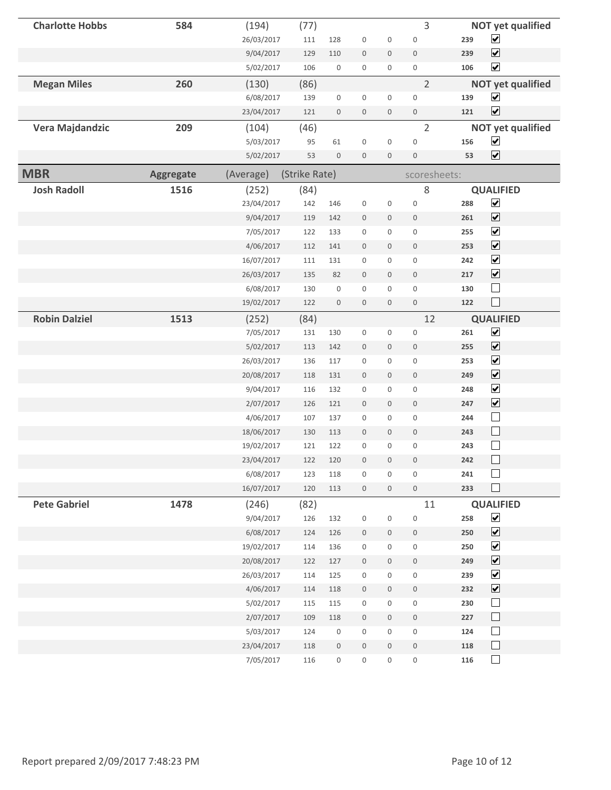| <b>Charlotte Hobbs</b> | 584              | (194)      | (77)          |                     |                  |                     | 3                   |     | <b>NOT yet qualified</b>    |
|------------------------|------------------|------------|---------------|---------------------|------------------|---------------------|---------------------|-----|-----------------------------|
|                        |                  | 26/03/2017 | 111           | 128                 | $\boldsymbol{0}$ | $\boldsymbol{0}$    | $\bf 0$             | 239 | $\blacktriangledown$        |
|                        |                  | 9/04/2017  | 129           | 110                 | $\boldsymbol{0}$ | $\mathbf 0$         | $\boldsymbol{0}$    | 239 | $\blacktriangledown$        |
|                        |                  | 5/02/2017  | 106           | $\boldsymbol{0}$    | $\boldsymbol{0}$ | $\mathbf 0$         | $\boldsymbol{0}$    | 106 | $\blacktriangledown$        |
| <b>Megan Miles</b>     | 260              | (130)      | (86)          |                     |                  |                     | $\overline{2}$      |     | <b>NOT yet qualified</b>    |
|                        |                  | 6/08/2017  | 139           | $\boldsymbol{0}$    | $\boldsymbol{0}$ | $\mathbf 0$         | $\boldsymbol{0}$    | 139 | $\blacktriangledown$        |
|                        |                  | 23/04/2017 | 121           | $\boldsymbol{0}$    | $\boldsymbol{0}$ | $\mathsf{O}\xspace$ | $\,0\,$             | 121 | $\blacktriangledown$        |
| Vera Majdandzic        | 209              | (104)      | (46)          |                     |                  |                     | $\overline{2}$      |     | <b>NOT yet qualified</b>    |
|                        |                  | 5/03/2017  | 95            | 61                  | $\boldsymbol{0}$ | $\boldsymbol{0}$    | $\bf 0$             | 156 | $\blacktriangledown$        |
|                        |                  | 5/02/2017  | 53            | $\boldsymbol{0}$    | $\boldsymbol{0}$ | $\mathbf 0$         | $\mathbf 0$         | 53  | $\blacktriangledown$        |
| <b>MBR</b>             | <b>Aggregate</b> | (Average)  | (Strike Rate) |                     |                  |                     | scoresheets:        |     |                             |
| <b>Josh Radoll</b>     | 1516             | (252)      | (84)          |                     |                  |                     | 8                   |     | <b>QUALIFIED</b>            |
|                        |                  | 23/04/2017 | 142           | 146                 | $\boldsymbol{0}$ | $\boldsymbol{0}$    | $\bf 0$             | 288 | $\blacktriangledown$        |
|                        |                  | 9/04/2017  | 119           | 142                 | $\boldsymbol{0}$ | $\mathsf{O}\xspace$ | $\mathbf 0$         | 261 | $\blacktriangledown$        |
|                        |                  | 7/05/2017  | 122           | 133                 | $\boldsymbol{0}$ | $\mathbf 0$         | $\boldsymbol{0}$    | 255 | $\blacktriangledown$        |
|                        |                  | 4/06/2017  | 112           | 141                 | $\boldsymbol{0}$ | $\mathsf{O}\xspace$ | $\boldsymbol{0}$    | 253 | $\blacktriangledown$        |
|                        |                  | 16/07/2017 | 111           | 131                 | $\boldsymbol{0}$ | $\boldsymbol{0}$    | $\boldsymbol{0}$    | 242 | $\blacktriangledown$        |
|                        |                  | 26/03/2017 | 135           | 82                  | $\boldsymbol{0}$ | $\mathsf{O}\xspace$ | $\boldsymbol{0}$    | 217 | $\blacktriangledown$        |
|                        |                  | 6/08/2017  | 130           | $\boldsymbol{0}$    | $\boldsymbol{0}$ | 0                   | $\mathsf{O}\xspace$ | 130 | $\overline{\phantom{a}}$    |
|                        |                  | 19/02/2017 | 122           | $\boldsymbol{0}$    | $\boldsymbol{0}$ | $\mathsf{O}\xspace$ | $\,0\,$             | 122 | $\Box$                      |
| <b>Robin Dalziel</b>   | 1513             | (252)      | (84)          |                     |                  |                     | 12                  |     | <b>QUALIFIED</b>            |
|                        |                  | 7/05/2017  | 131           | 130                 | $\boldsymbol{0}$ | $\boldsymbol{0}$    | $\bf 0$             | 261 | $\blacktriangledown$        |
|                        |                  | 5/02/2017  | 113           | 142                 | $\boldsymbol{0}$ | $\mathsf{O}\xspace$ | $\mathbf 0$         | 255 | $\blacktriangledown$        |
|                        |                  | 26/03/2017 | 136           | 117                 | $\boldsymbol{0}$ | $\boldsymbol{0}$    | $\boldsymbol{0}$    | 253 | $\blacktriangledown$        |
|                        |                  | 20/08/2017 | 118           | 131                 | $\boldsymbol{0}$ | $\mathsf{O}\xspace$ | $\boldsymbol{0}$    | 249 | $\blacktriangledown$        |
|                        |                  | 9/04/2017  | 116           | 132                 | $\boldsymbol{0}$ | $\boldsymbol{0}$    | $\mathbf 0$         | 248 | $\blacktriangledown$        |
|                        |                  | 2/07/2017  | 126           | 121                 | $\boldsymbol{0}$ | $\mathbf 0$         | $\boldsymbol{0}$    | 247 | $\blacktriangledown$        |
|                        |                  | 4/06/2017  | 107           | 137                 | $\boldsymbol{0}$ | $\mathbf 0$         | $\mathbf 0$         | 244 | $\Box$                      |
|                        |                  | 18/06/2017 | 130           | 113                 | $\boldsymbol{0}$ | $\mathbf 0$         | $\boldsymbol{0}$    | 243 | $\Box$                      |
|                        |                  | 19/02/2017 | 121           | 122                 | $\boldsymbol{0}$ | $\boldsymbol{0}$    | $\boldsymbol{0}$    | 243 | $\overline{\phantom{a}}$    |
|                        |                  | 23/04/2017 | 122           | 120                 | $\mathbf 0$      | $\mathbf 0$         | $\mathbf 0$         | 242 |                             |
|                        |                  | 6/08/2017  | 123           | 118                 | $\boldsymbol{0}$ | $\mathsf{O}\xspace$ | $\mathsf{O}\xspace$ | 241 | $\mathcal{L}$               |
|                        |                  | 16/07/2017 | 120           | 113                 | $\boldsymbol{0}$ | $\mathbf 0$         | $\,0\,$             | 233 | $\Box$                      |
| <b>Pete Gabriel</b>    | 1478             | (246)      | (82)          |                     |                  |                     | 11                  |     | <b>QUALIFIED</b>            |
|                        |                  | 9/04/2017  | 126           | 132                 | $\boldsymbol{0}$ | $\boldsymbol{0}$    | $\boldsymbol{0}$    | 258 | $\blacktriangledown$        |
|                        |                  | 6/08/2017  | 124           | 126                 | $\boldsymbol{0}$ | $\mathsf{O}\xspace$ | $\,0\,$             | 250 | $\blacktriangledown$        |
|                        |                  | 19/02/2017 | 114           | 136                 | $\boldsymbol{0}$ | $\boldsymbol{0}$    | $\mathsf{O}\xspace$ | 250 | $\blacktriangledown$        |
|                        |                  | 20/08/2017 | 122           | 127                 | $\boldsymbol{0}$ | $\mathbf 0$         | $\boldsymbol{0}$    | 249 | $\blacktriangledown$        |
|                        |                  | 26/03/2017 | 114           | 125                 | $\boldsymbol{0}$ | $\mathbf 0$         | $\boldsymbol{0}$    | 239 | $\blacktriangledown$        |
|                        |                  | 4/06/2017  | 114           | 118                 | $\,0\,$          | $\mathbf 0$         | $\mathsf{O}$        | 232 | $\blacktriangledown$        |
|                        |                  | 5/02/2017  | 115           | 115                 | $\boldsymbol{0}$ | 0                   | $\boldsymbol{0}$    | 230 |                             |
|                        |                  | 2/07/2017  | 109           | 118                 | $\boldsymbol{0}$ | $\mathbf 0$         | $\boldsymbol{0}$    | 227 | $\Box$                      |
|                        |                  | 5/03/2017  | 124           | $\boldsymbol{0}$    | $\boldsymbol{0}$ | $\boldsymbol{0}$    | $\,0\,$             | 124 | $\Box$                      |
|                        |                  | 23/04/2017 | 118           | $\boldsymbol{0}$    | $\boldsymbol{0}$ | $\mathbf 0$         | $\,0\,$             | 118 | $\Box$                      |
|                        |                  | 7/05/2017  | 116           | $\mathsf{O}\xspace$ | $\boldsymbol{0}$ | $\mathsf{O}\xspace$ | $\,0\,$             | 116 | $\mathcal{L}_{\mathcal{A}}$ |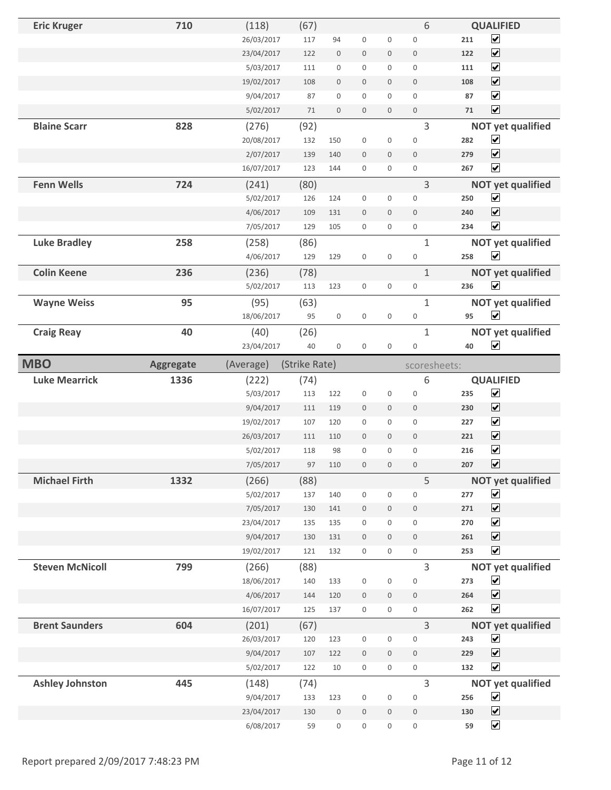| <b>Eric Kruger</b>     | 710              | (118)                   | (67)          |                     |                  |                  | 6                   | <b>QUALIFIED</b>                                    |
|------------------------|------------------|-------------------------|---------------|---------------------|------------------|------------------|---------------------|-----------------------------------------------------|
|                        |                  | 26/03/2017              | 117           | 94                  | $\boldsymbol{0}$ | $\boldsymbol{0}$ | $\boldsymbol{0}$    | $\blacktriangledown$<br>211                         |
|                        |                  | 23/04/2017              | 122           | $\boldsymbol{0}$    | $\boldsymbol{0}$ | $\boldsymbol{0}$ | $\boldsymbol{0}$    | $\blacktriangledown$<br>122                         |
|                        |                  | 5/03/2017               | 111           | $\boldsymbol{0}$    | $\boldsymbol{0}$ | 0                | 0                   | $\blacktriangledown$<br>111                         |
|                        |                  | 19/02/2017              | 108           | $\mathbf 0$         | $\boldsymbol{0}$ | $\mathbf 0$      | $\mathbf 0$         | $\blacktriangledown$<br>108                         |
|                        |                  | 9/04/2017               | 87            | 0                   | $\mathbf 0$      | 0                | 0                   | $\blacktriangledown$<br>87                          |
|                        |                  | 5/02/2017               | 71            | $\mathsf{O}\xspace$ | $\boldsymbol{0}$ | $\mathbf 0$      | $\boldsymbol{0}$    | $\blacktriangledown$<br>71                          |
| <b>Blaine Scarr</b>    | 828              | (276)                   | (92)          |                     |                  |                  | 3                   | <b>NOT yet qualified</b>                            |
|                        |                  | 20/08/2017              | 132           | 150                 | $\boldsymbol{0}$ | $\boldsymbol{0}$ | $\mathbf 0$         | $\blacktriangledown$<br>282                         |
|                        |                  | 2/07/2017               | 139           | 140                 | $\boldsymbol{0}$ | $\mathbf 0$      | $\mathbf 0$         | $\blacktriangledown$<br>279                         |
|                        |                  | 16/07/2017              | 123           | 144                 | $\boldsymbol{0}$ | 0                | $\mathsf 0$         | $\overline{\mathbf{v}}$<br>267                      |
| <b>Fenn Wells</b>      | 724              | (241)                   | (80)          |                     |                  |                  | 3                   | <b>NOT yet qualified</b>                            |
|                        |                  | 5/02/2017               | 126           | 124                 | $\boldsymbol{0}$ | 0                | $\boldsymbol{0}$    | $\blacktriangledown$<br>250                         |
|                        |                  | 4/06/2017               | 109           | 131                 | $\bf 0$          | $\mathbf 0$      | $\boldsymbol{0}$    | $\blacktriangledown$<br>240                         |
|                        |                  | 7/05/2017               | 129           | 105                 | $\mathbf 0$      | 0                | $\boldsymbol{0}$    | $\blacktriangledown$<br>234                         |
| <b>Luke Bradley</b>    | 258              | (258)                   | (86)          |                     |                  |                  | $\mathbf{1}$        | <b>NOT yet qualified</b>                            |
|                        |                  | 4/06/2017               | 129           | 129                 | $\boldsymbol{0}$ | $\boldsymbol{0}$ | $\mathsf{O}\xspace$ | $\blacktriangledown$<br>258                         |
| <b>Colin Keene</b>     | 236              | (236)                   | (78)          |                     |                  |                  | $\mathbf{1}$        | <b>NOT yet qualified</b>                            |
|                        |                  | 5/02/2017               | 113           | 123                 | $\boldsymbol{0}$ | $\boldsymbol{0}$ | $\boldsymbol{0}$    | $\blacktriangledown$<br>236                         |
| <b>Wayne Weiss</b>     | 95               | (95)                    | (63)          |                     |                  |                  | $\mathbf{1}$        | <b>NOT yet qualified</b>                            |
|                        |                  | 18/06/2017              | 95            | $\boldsymbol{0}$    | $\boldsymbol{0}$ | 0                | $\boldsymbol{0}$    | $\blacktriangledown$<br>95                          |
| <b>Craig Reay</b>      | 40               | (40)                    | (26)          |                     |                  |                  | $\mathbf{1}$        | <b>NOT yet qualified</b>                            |
|                        |                  | 23/04/2017              | 40            | $\boldsymbol{0}$    | $\boldsymbol{0}$ | $\boldsymbol{0}$ | $\boldsymbol{0}$    | $\blacktriangledown$<br>40                          |
| <b>MBO</b>             | <b>Aggregate</b> | (Average)               | (Strike Rate) |                     |                  |                  |                     | scoresheets:                                        |
|                        |                  |                         |               |                     |                  |                  |                     |                                                     |
| <b>Luke Mearrick</b>   | 1336             |                         |               |                     |                  |                  | 6                   |                                                     |
|                        |                  | (222)<br>5/03/2017      | (74)<br>113   | 122                 | $\boldsymbol{0}$ | $\boldsymbol{0}$ | $\mathbf 0$         | <b>QUALIFIED</b><br>$\blacktriangledown$<br>235     |
|                        |                  | 9/04/2017               | 111           | 119                 | $\boldsymbol{0}$ | $\mathbf 0$      | $\mathbf 0$         | $\blacktriangledown$<br>230                         |
|                        |                  | 19/02/2017              | 107           | 120                 | $\boldsymbol{0}$ | 0                | $\mathbf 0$         | $\blacktriangledown$<br>227                         |
|                        |                  | 26/03/2017              | 111           | 110                 | $\mathbf 0$      | 0                | $\boldsymbol{0}$    | $\blacktriangledown$<br>221                         |
|                        |                  | 5/02/2017               | 118           | 98                  | $\boldsymbol{0}$ | 0                | $\boldsymbol{0}$    | $\blacktriangledown$<br>216                         |
|                        |                  | 7/05/2017               | 97            | 110                 | $\mathbf 0$      | $\mathbf 0$      | $\mathbf 0$         | $\blacktriangledown$<br>207                         |
| <b>Michael Firth</b>   | 1332             | (266)                   | (88)          |                     |                  |                  | 5                   | <b>NOT yet qualified</b>                            |
|                        |                  | 5/02/2017               | 137           | 140                 | $\boldsymbol{0}$ | $\boldsymbol{0}$ | $\boldsymbol{0}$    | $\blacktriangledown$<br>277                         |
|                        |                  | 7/05/2017               | 130           | 141                 | $\boldsymbol{0}$ | $\boldsymbol{0}$ | $\boldsymbol{0}$    | $\overline{\mathbf{v}}$<br>271                      |
|                        |                  | 23/04/2017              | 135           | 135                 | $\boldsymbol{0}$ | 0                | 0                   | $\blacktriangledown$<br>270                         |
|                        |                  | 9/04/2017               | 130           | 131                 | $\boldsymbol{0}$ | 0                | $\boldsymbol{0}$    | $\blacktriangledown$<br>261                         |
|                        |                  | 19/02/2017              | 121           | 132                 | $\boldsymbol{0}$ | 0                | $\boldsymbol{0}$    | $\blacktriangledown$<br>253                         |
| <b>Steven McNicoll</b> | 799              | (266)                   | (88)          |                     |                  |                  | 3                   | <b>NOT yet qualified</b>                            |
|                        |                  | 18/06/2017              | 140           | 133                 | $\boldsymbol{0}$ | 0                | 0                   | $\blacktriangledown$<br>273                         |
|                        |                  | 4/06/2017               | 144           | 120                 | $\boldsymbol{0}$ | 0                | $\mathbb O$         | $\blacktriangledown$<br>264                         |
|                        |                  | 16/07/2017              | 125           | 137                 | $\boldsymbol{0}$ | 0                | $\boldsymbol{0}$    | $\blacktriangledown$<br>262                         |
| <b>Brent Saunders</b>  | 604              | (201)                   | (67)          |                     |                  |                  | 3                   | <b>NOT yet qualified</b>                            |
|                        |                  | 26/03/2017              | 120           | 123                 | $\bf 0$          | 0                | 0                   | $\blacktriangledown$<br>243                         |
|                        |                  | 9/04/2017               | 107           | 122                 | $\boldsymbol{0}$ | 0                | $\boldsymbol{0}$    | $\overline{\mathbf{v}}$<br>229                      |
|                        |                  | 5/02/2017               | 122           | $10\,$              | $\boldsymbol{0}$ | 0                | $\boldsymbol{0}$    | $\blacktriangledown$<br>132                         |
| <b>Ashley Johnston</b> | 445              | (148)                   | (74)          |                     |                  |                  | 3                   | <b>NOT yet qualified</b>                            |
|                        |                  | 9/04/2017               | 133           | 123                 | $\boldsymbol{0}$ | $\boldsymbol{0}$ | $\boldsymbol{0}$    | $\blacktriangledown$<br>256                         |
|                        |                  | 23/04/2017<br>6/08/2017 | 130           | $\boldsymbol{0}$    | $\boldsymbol{0}$ | 0                | $\boldsymbol{0}$    | $\blacktriangledown$<br>130<br>$\blacktriangledown$ |